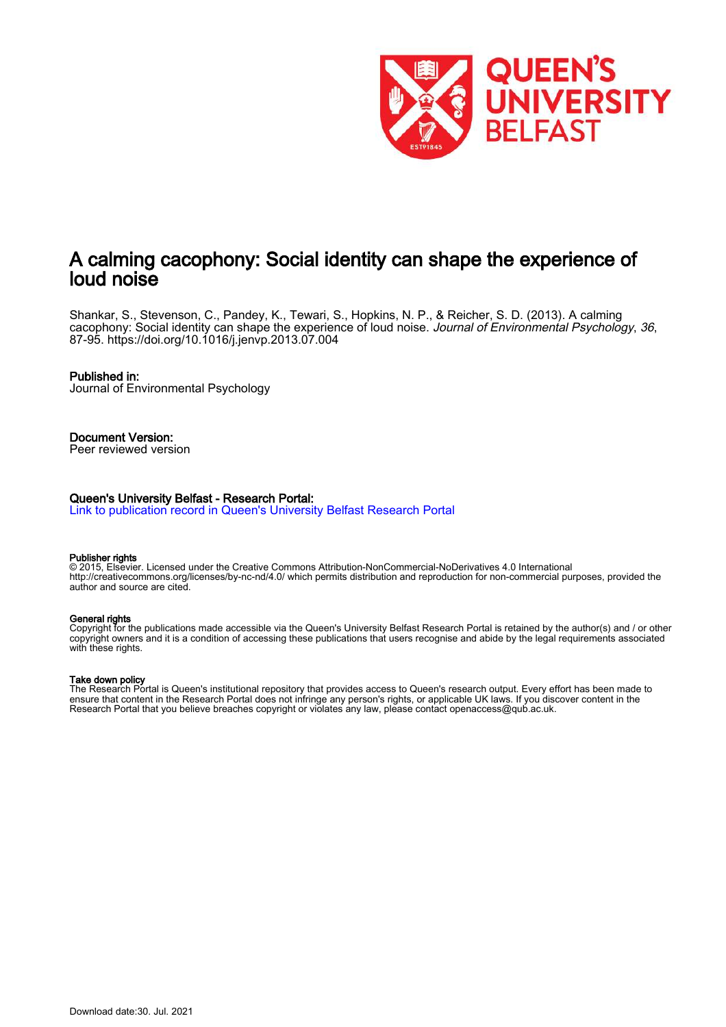

## A calming cacophony: Social identity can shape the experience of loud noise

Shankar, S., Stevenson, C., Pandey, K., Tewari, S., Hopkins, N. P., & Reicher, S. D. (2013). A calming cacophony: Social identity can shape the experience of loud noise. Journal of Environmental Psychology, 36, 87-95. https://doi.org/10.1016/j.jenvp.2013.07.004

#### Published in:

Journal of Environmental Psychology

## Document Version:

Peer reviewed version

#### Queen's University Belfast - Research Portal:

Link to publication record in Queen's University Belfast Research Portal

#### Publisher rights

© 2015, Elsevier. Licensed under the Creative Commons Attribution-NonCommercial-NoDerivatives 4.0 International http://creativecommons.org/licenses/by-nc-nd/4.0/ which permits distribution and reproduction for non-commercial purposes, provided the author and source are cited.

#### General rights

Copyright for the publications made accessible via the Queen's University Belfast Research Portal is retained by the author(s) and / or other copyright owners and it is a condition of accessing these publications that users recognise and abide by the legal requirements associated with these rights.

#### Take down policy

The Research Portal is Queen's institutional repository that provides access to Queen's research output. Every effort has been made to ensure that content in the Research Portal does not infringe any person's rights, or applicable UK laws. If you discover content in the Research Portal that you believe breaches copyright or violates any law, please contact openaccess@qub.ac.uk.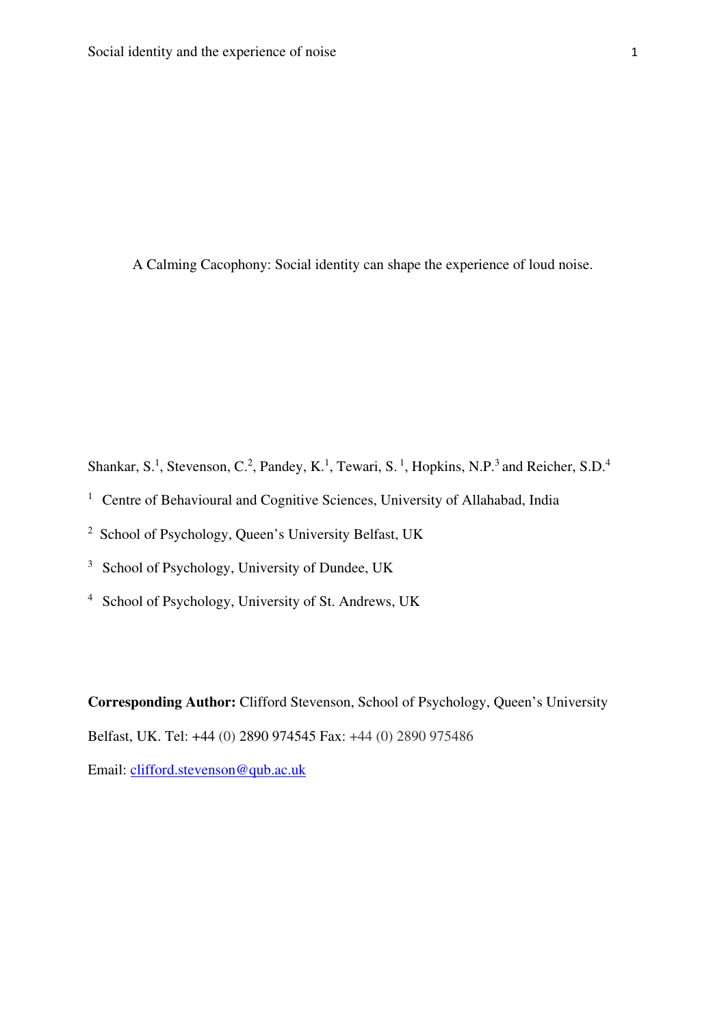A Calming Cacophony: Social identity can shape the experience of loud noise.

Shankar, S.<sup>1</sup>, Stevenson, C.<sup>2</sup>, Pandey, K.<sup>1</sup>, Tewari, S.<sup>1</sup>, Hopkins, N.P.<sup>3</sup> and Reicher, S.D.<sup>4</sup>

- <sup>1</sup> Centre of Behavioural and Cognitive Sciences, University of Allahabad, India
- <sup>2</sup> School of Psychology, Queen's University Belfast, UK
- <sup>3</sup> School of Psychology, University of Dundee, UK
- <sup>4</sup> School of Psychology, University of St. Andrews, UK

**Corresponding Author:** Clifford Stevenson, School of Psychology, Queen's University Belfast, UK. Tel: +44 (0) 2890 974545 Fax: +44 (0) 2890 975486 Email: clifford.stevenson@qub.ac.uk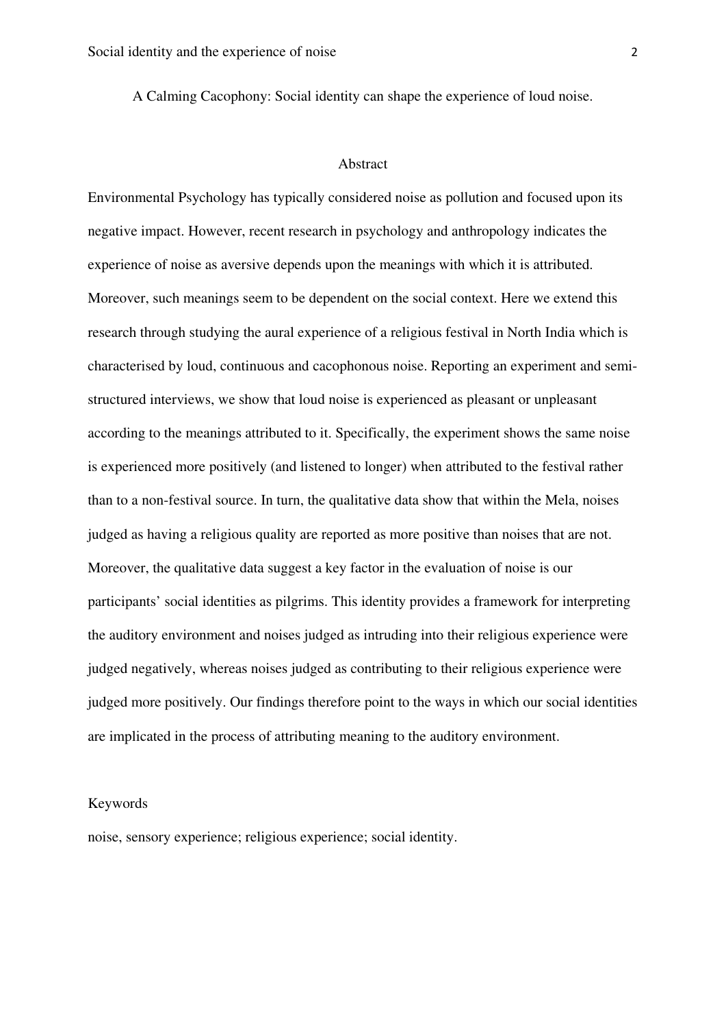A Calming Cacophony: Social identity can shape the experience of loud noise.

#### Abstract

Environmental Psychology has typically considered noise as pollution and focused upon its negative impact. However, recent research in psychology and anthropology indicates the experience of noise as aversive depends upon the meanings with which it is attributed. Moreover, such meanings seem to be dependent on the social context. Here we extend this research through studying the aural experience of a religious festival in North India which is characterised by loud, continuous and cacophonous noise. Reporting an experiment and semistructured interviews, we show that loud noise is experienced as pleasant or unpleasant according to the meanings attributed to it. Specifically, the experiment shows the same noise is experienced more positively (and listened to longer) when attributed to the festival rather than to a non-festival source. In turn, the qualitative data show that within the Mela, noises judged as having a religious quality are reported as more positive than noises that are not. Moreover, the qualitative data suggest a key factor in the evaluation of noise is our participants' social identities as pilgrims. This identity provides a framework for interpreting the auditory environment and noises judged as intruding into their religious experience were judged negatively, whereas noises judged as contributing to their religious experience were judged more positively. Our findings therefore point to the ways in which our social identities are implicated in the process of attributing meaning to the auditory environment.

#### Keywords

noise, sensory experience; religious experience; social identity.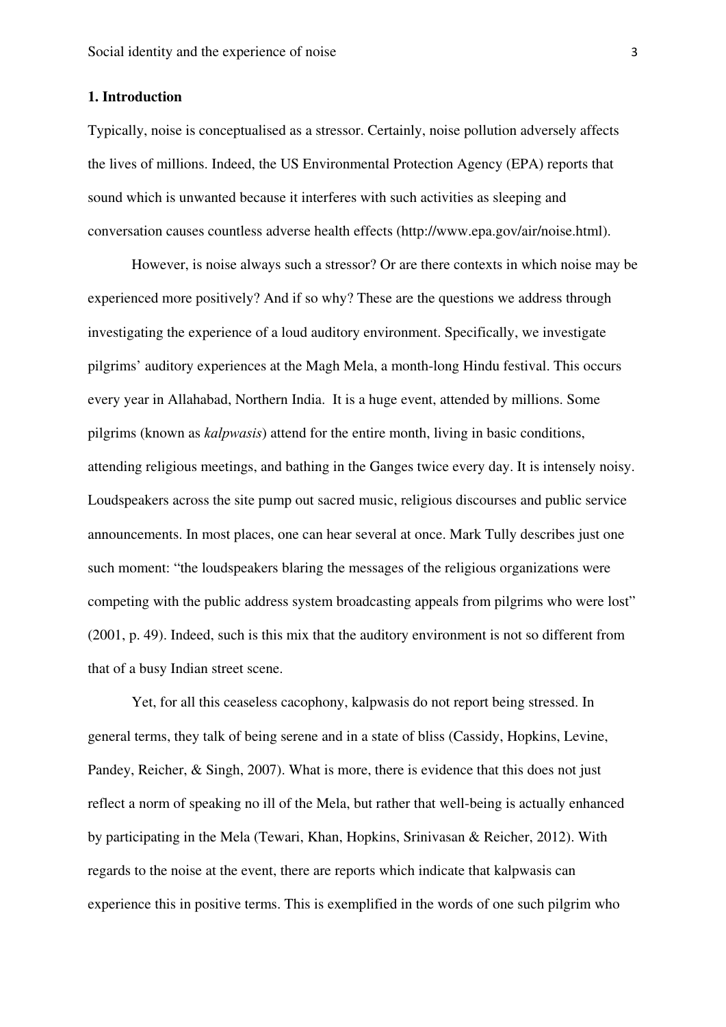#### **1. Introduction**

Typically, noise is conceptualised as a stressor. Certainly, noise pollution adversely affects the lives of millions. Indeed, the US Environmental Protection Agency (EPA) reports that sound which is unwanted because it interferes with such activities as sleeping and conversation causes countless adverse health effects (http://www.epa.gov/air/noise.html).

However, is noise always such a stressor? Or are there contexts in which noise may be experienced more positively? And if so why? These are the questions we address through investigating the experience of a loud auditory environment. Specifically, we investigate pilgrims' auditory experiences at the Magh Mela, a month-long Hindu festival. This occurs every year in Allahabad, Northern India. It is a huge event, attended by millions. Some pilgrims (known as *kalpwasis*) attend for the entire month, living in basic conditions, attending religious meetings, and bathing in the Ganges twice every day. It is intensely noisy. Loudspeakers across the site pump out sacred music, religious discourses and public service announcements. In most places, one can hear several at once. Mark Tully describes just one such moment: "the loudspeakers blaring the messages of the religious organizations were competing with the public address system broadcasting appeals from pilgrims who were lost" (2001, p. 49). Indeed, such is this mix that the auditory environment is not so different from that of a busy Indian street scene.

Yet, for all this ceaseless cacophony, kalpwasis do not report being stressed. In general terms, they talk of being serene and in a state of bliss (Cassidy, Hopkins, Levine, Pandey, Reicher, & Singh, 2007). What is more, there is evidence that this does not just reflect a norm of speaking no ill of the Mela, but rather that well-being is actually enhanced by participating in the Mela (Tewari, Khan, Hopkins, Srinivasan & Reicher, 2012). With regards to the noise at the event, there are reports which indicate that kalpwasis can experience this in positive terms. This is exemplified in the words of one such pilgrim who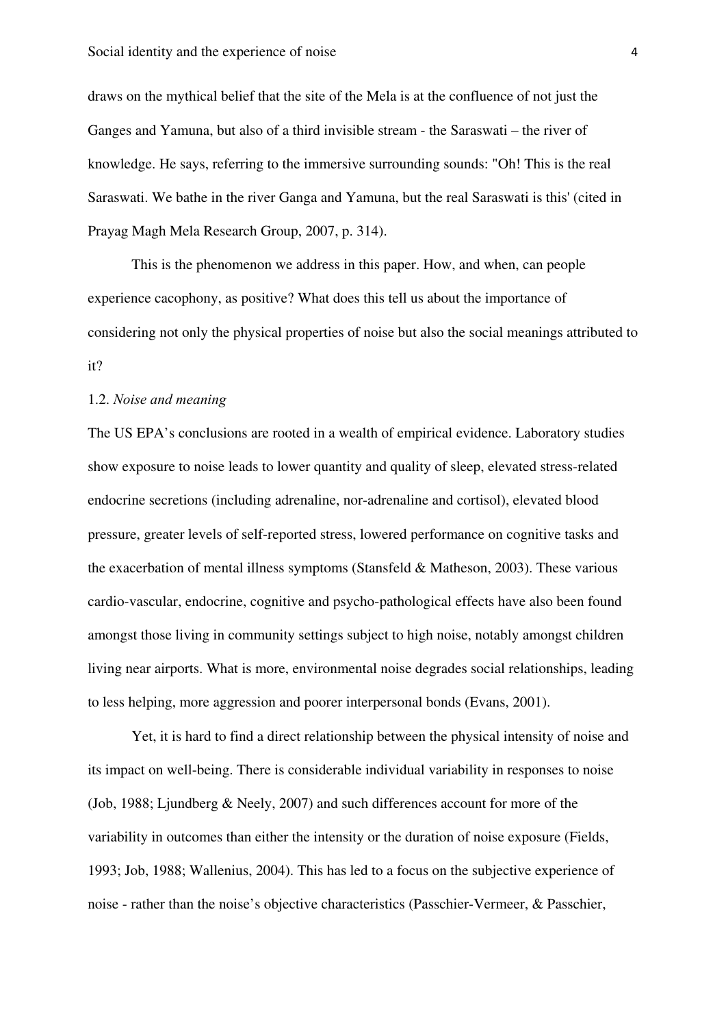draws on the mythical belief that the site of the Mela is at the confluence of not just the Ganges and Yamuna, but also of a third invisible stream - the Saraswati – the river of knowledge. He says, referring to the immersive surrounding sounds: "Oh! This is the real Saraswati. We bathe in the river Ganga and Yamuna, but the real Saraswati is this' (cited in Prayag Magh Mela Research Group, 2007, p. 314).

This is the phenomenon we address in this paper. How, and when, can people experience cacophony, as positive? What does this tell us about the importance of considering not only the physical properties of noise but also the social meanings attributed to it?

### 1.2. *Noise and meaning*

The US EPA's conclusions are rooted in a wealth of empirical evidence. Laboratory studies show exposure to noise leads to lower quantity and quality of sleep, elevated stress-related endocrine secretions (including adrenaline, nor-adrenaline and cortisol), elevated blood pressure, greater levels of self-reported stress, lowered performance on cognitive tasks and the exacerbation of mental illness symptoms (Stansfeld & Matheson, 2003). These various cardio-vascular, endocrine, cognitive and psycho-pathological effects have also been found amongst those living in community settings subject to high noise, notably amongst children living near airports. What is more, environmental noise degrades social relationships, leading to less helping, more aggression and poorer interpersonal bonds (Evans, 2001).

Yet, it is hard to find a direct relationship between the physical intensity of noise and its impact on well-being. There is considerable individual variability in responses to noise (Job, 1988; Ljundberg & Neely, 2007) and such differences account for more of the variability in outcomes than either the intensity or the duration of noise exposure (Fields, 1993; Job, 1988; Wallenius, 2004). This has led to a focus on the subjective experience of noise - rather than the noise's objective characteristics (Passchier-Vermeer, & Passchier,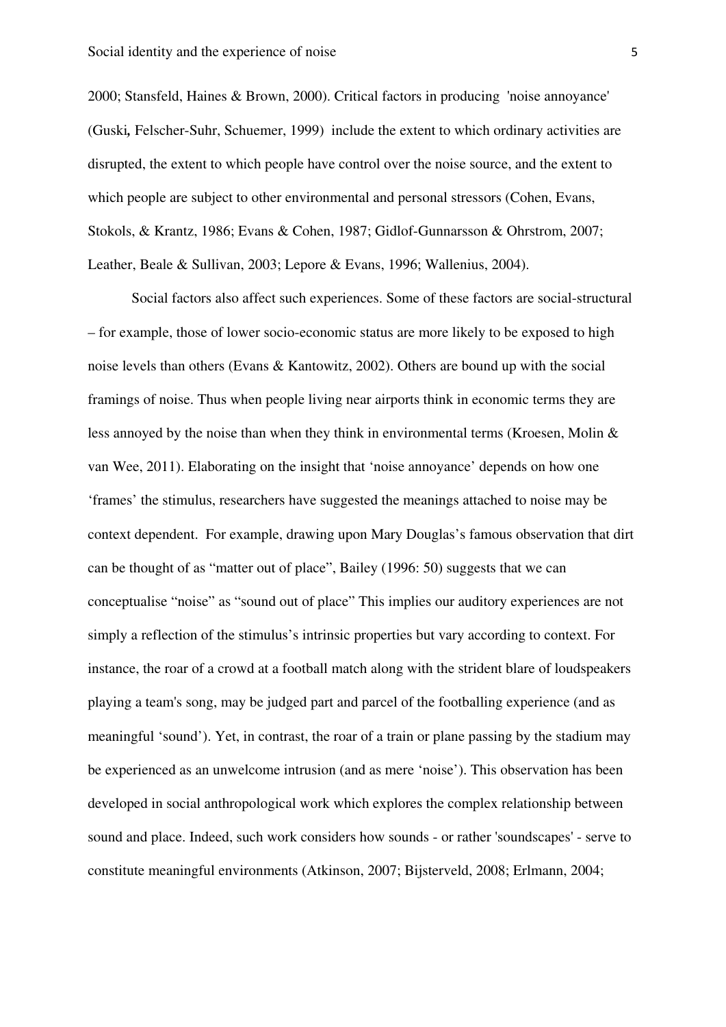2000; Stansfeld, Haines & Brown, 2000). Critical factors in producing 'noise annoyance' (Guski*,* Felscher-Suhr, Schuemer, 1999) include the extent to which ordinary activities are disrupted, the extent to which people have control over the noise source, and the extent to which people are subject to other environmental and personal stressors (Cohen, Evans, Stokols, & Krantz, 1986; Evans & Cohen, 1987; Gidlof-Gunnarsson & Ohrstrom, 2007; Leather, Beale & Sullivan, 2003; Lepore & Evans, 1996; Wallenius, 2004).

Social factors also affect such experiences. Some of these factors are social-structural – for example, those of lower socio-economic status are more likely to be exposed to high noise levels than others (Evans & Kantowitz, 2002). Others are bound up with the social framings of noise. Thus when people living near airports think in economic terms they are less annoyed by the noise than when they think in environmental terms (Kroesen, Molin & van Wee, 2011). Elaborating on the insight that 'noise annoyance' depends on how one 'frames' the stimulus, researchers have suggested the meanings attached to noise may be context dependent. For example, drawing upon Mary Douglas's famous observation that dirt can be thought of as "matter out of place", Bailey (1996: 50) suggests that we can conceptualise "noise" as "sound out of place" This implies our auditory experiences are not simply a reflection of the stimulus's intrinsic properties but vary according to context. For instance, the roar of a crowd at a football match along with the strident blare of loudspeakers playing a team's song, may be judged part and parcel of the footballing experience (and as meaningful 'sound'). Yet, in contrast, the roar of a train or plane passing by the stadium may be experienced as an unwelcome intrusion (and as mere 'noise'). This observation has been developed in social anthropological work which explores the complex relationship between sound and place. Indeed, such work considers how sounds - or rather 'soundscapes' - serve to constitute meaningful environments (Atkinson, 2007; Bijsterveld, 2008; Erlmann, 2004;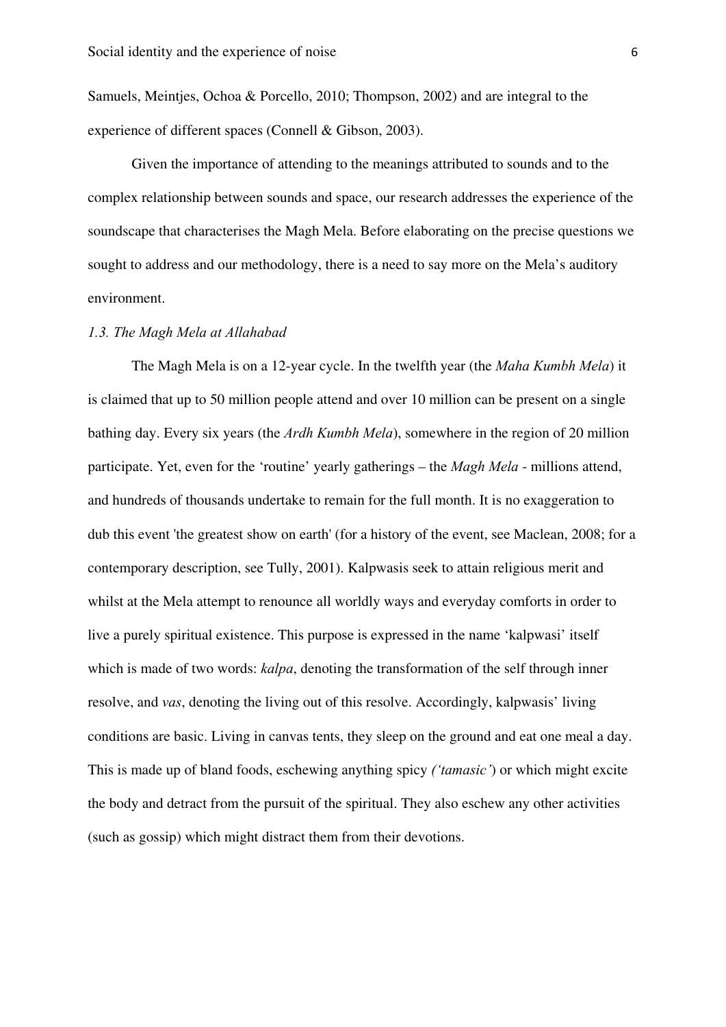Samuels, Meintjes, Ochoa & Porcello, 2010; Thompson, 2002) and are integral to the experience of different spaces (Connell & Gibson, 2003).

Given the importance of attending to the meanings attributed to sounds and to the complex relationship between sounds and space, our research addresses the experience of the soundscape that characterises the Magh Mela. Before elaborating on the precise questions we sought to address and our methodology, there is a need to say more on the Mela's auditory environment.

## *1.3. The Magh Mela at Allahabad*

The Magh Mela is on a 12-year cycle. In the twelfth year (the *Maha Kumbh Mela*) it is claimed that up to 50 million people attend and over 10 million can be present on a single bathing day. Every six years (the *Ardh Kumbh Mela*), somewhere in the region of 20 million participate. Yet, even for the 'routine' yearly gatherings – the *Magh Mela* - millions attend, and hundreds of thousands undertake to remain for the full month. It is no exaggeration to dub this event 'the greatest show on earth' (for a history of the event, see Maclean, 2008; for a contemporary description, see Tully, 2001). Kalpwasis seek to attain religious merit and whilst at the Mela attempt to renounce all worldly ways and everyday comforts in order to live a purely spiritual existence. This purpose is expressed in the name 'kalpwasi' itself which is made of two words: *kalpa*, denoting the transformation of the self through inner resolve, and *vas*, denoting the living out of this resolve. Accordingly, kalpwasis' living conditions are basic. Living in canvas tents, they sleep on the ground and eat one meal a day. This is made up of bland foods, eschewing anything spicy *('tamasic'*) or which might excite the body and detract from the pursuit of the spiritual. They also eschew any other activities (such as gossip) which might distract them from their devotions.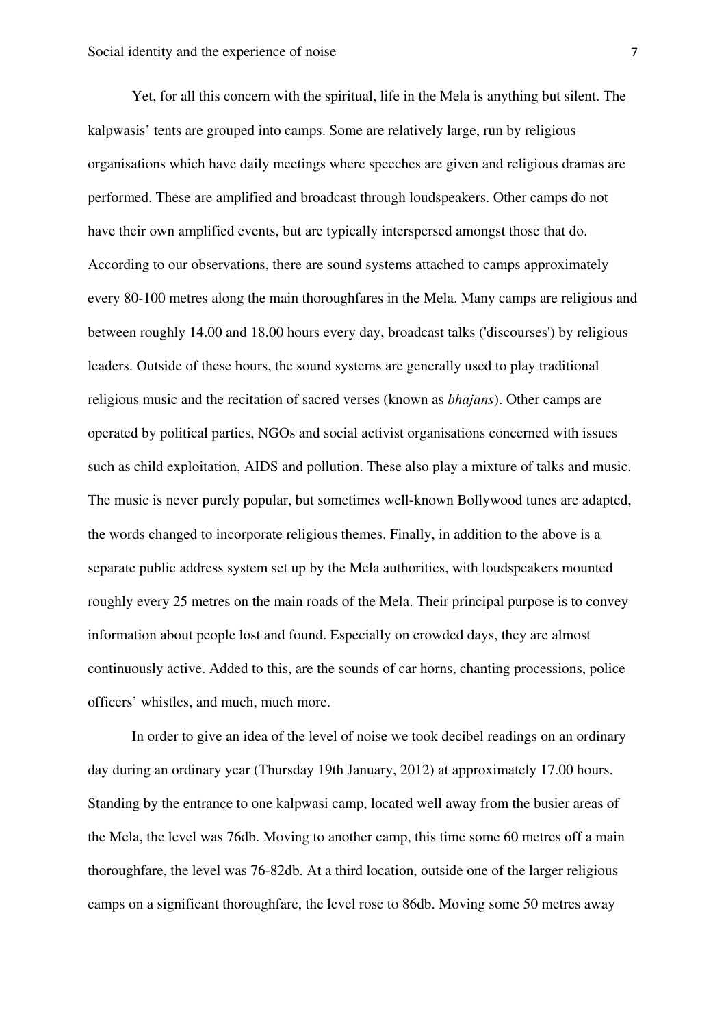Yet, for all this concern with the spiritual, life in the Mela is anything but silent. The kalpwasis' tents are grouped into camps. Some are relatively large, run by religious organisations which have daily meetings where speeches are given and religious dramas are performed. These are amplified and broadcast through loudspeakers. Other camps do not have their own amplified events, but are typically interspersed amongst those that do. According to our observations, there are sound systems attached to camps approximately every 80-100 metres along the main thoroughfares in the Mela. Many camps are religious and between roughly 14.00 and 18.00 hours every day, broadcast talks ('discourses') by religious leaders. Outside of these hours, the sound systems are generally used to play traditional religious music and the recitation of sacred verses (known as *bhajans*). Other camps are operated by political parties, NGOs and social activist organisations concerned with issues such as child exploitation, AIDS and pollution. These also play a mixture of talks and music. The music is never purely popular, but sometimes well-known Bollywood tunes are adapted, the words changed to incorporate religious themes. Finally, in addition to the above is a separate public address system set up by the Mela authorities, with loudspeakers mounted roughly every 25 metres on the main roads of the Mela. Their principal purpose is to convey information about people lost and found. Especially on crowded days, they are almost continuously active. Added to this, are the sounds of car horns, chanting processions, police officers' whistles, and much, much more.

In order to give an idea of the level of noise we took decibel readings on an ordinary day during an ordinary year (Thursday 19th January, 2012) at approximately 17.00 hours. Standing by the entrance to one kalpwasi camp, located well away from the busier areas of the Mela, the level was 76db. Moving to another camp, this time some 60 metres off a main thoroughfare, the level was 76-82db. At a third location, outside one of the larger religious camps on a significant thoroughfare, the level rose to 86db. Moving some 50 metres away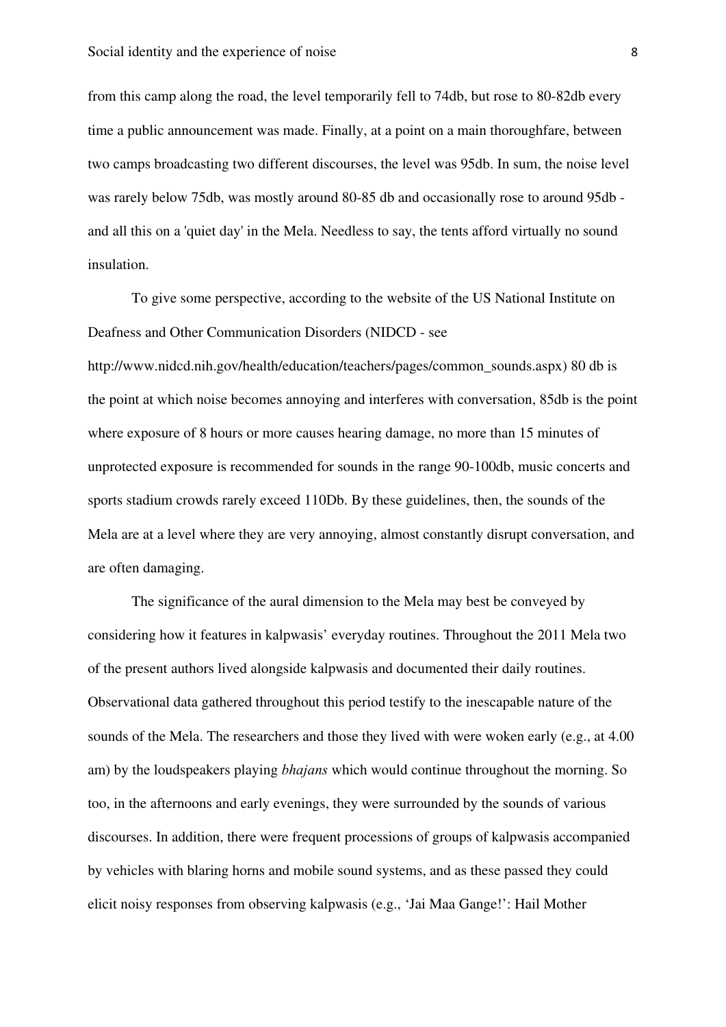from this camp along the road, the level temporarily fell to 74db, but rose to 80-82db every time a public announcement was made. Finally, at a point on a main thoroughfare, between two camps broadcasting two different discourses, the level was 95db. In sum, the noise level was rarely below 75db, was mostly around 80-85 db and occasionally rose to around 95db and all this on a 'quiet day' in the Mela. Needless to say, the tents afford virtually no sound insulation.

To give some perspective, according to the website of the US National Institute on Deafness and Other Communication Disorders (NIDCD - see

http://www.nidcd.nih.gov/health/education/teachers/pages/common\_sounds.aspx) 80 db is the point at which noise becomes annoying and interferes with conversation, 85db is the point where exposure of 8 hours or more causes hearing damage, no more than 15 minutes of unprotected exposure is recommended for sounds in the range 90-100db, music concerts and sports stadium crowds rarely exceed 110Db. By these guidelines, then, the sounds of the Mela are at a level where they are very annoying, almost constantly disrupt conversation, and are often damaging.

The significance of the aural dimension to the Mela may best be conveyed by considering how it features in kalpwasis' everyday routines. Throughout the 2011 Mela two of the present authors lived alongside kalpwasis and documented their daily routines. Observational data gathered throughout this period testify to the inescapable nature of the sounds of the Mela. The researchers and those they lived with were woken early (e.g., at 4.00 am) by the loudspeakers playing *bhajans* which would continue throughout the morning. So too, in the afternoons and early evenings, they were surrounded by the sounds of various discourses. In addition, there were frequent processions of groups of kalpwasis accompanied by vehicles with blaring horns and mobile sound systems, and as these passed they could elicit noisy responses from observing kalpwasis (e.g., 'Jai Maa Gange!': Hail Mother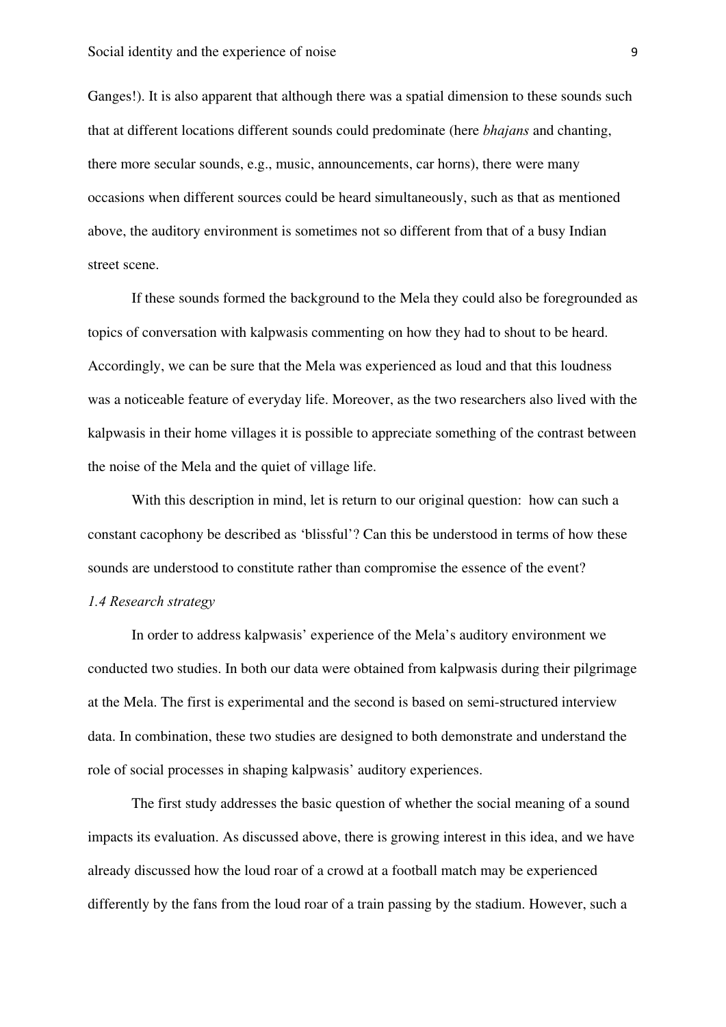Ganges!). It is also apparent that although there was a spatial dimension to these sounds such that at different locations different sounds could predominate (here *bhajans* and chanting, there more secular sounds, e.g., music, announcements, car horns), there were many occasions when different sources could be heard simultaneously, such as that as mentioned above, the auditory environment is sometimes not so different from that of a busy Indian street scene.

If these sounds formed the background to the Mela they could also be foregrounded as topics of conversation with kalpwasis commenting on how they had to shout to be heard. Accordingly, we can be sure that the Mela was experienced as loud and that this loudness was a noticeable feature of everyday life. Moreover, as the two researchers also lived with the kalpwasis in their home villages it is possible to appreciate something of the contrast between the noise of the Mela and the quiet of village life.

With this description in mind, let is return to our original question: how can such a constant cacophony be described as 'blissful'? Can this be understood in terms of how these sounds are understood to constitute rather than compromise the essence of the event? *1.4 Research strategy* 

In order to address kalpwasis' experience of the Mela's auditory environment we conducted two studies. In both our data were obtained from kalpwasis during their pilgrimage at the Mela. The first is experimental and the second is based on semi-structured interview data. In combination, these two studies are designed to both demonstrate and understand the role of social processes in shaping kalpwasis' auditory experiences.

The first study addresses the basic question of whether the social meaning of a sound impacts its evaluation. As discussed above, there is growing interest in this idea, and we have already discussed how the loud roar of a crowd at a football match may be experienced differently by the fans from the loud roar of a train passing by the stadium. However, such a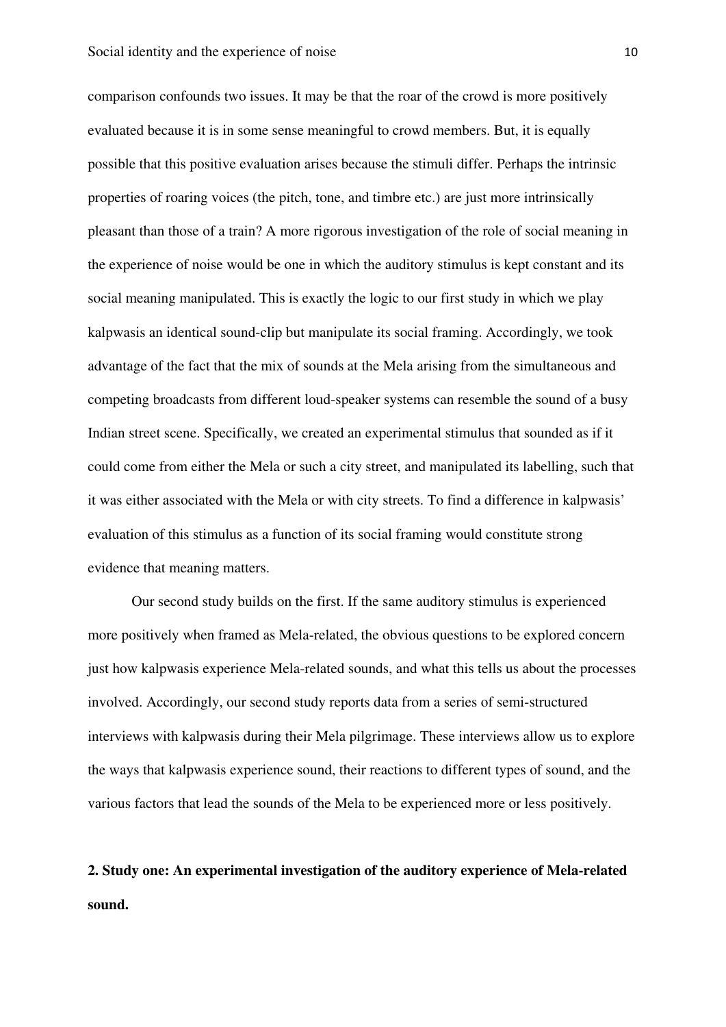comparison confounds two issues. It may be that the roar of the crowd is more positively evaluated because it is in some sense meaningful to crowd members. But, it is equally possible that this positive evaluation arises because the stimuli differ. Perhaps the intrinsic properties of roaring voices (the pitch, tone, and timbre etc.) are just more intrinsically pleasant than those of a train? A more rigorous investigation of the role of social meaning in the experience of noise would be one in which the auditory stimulus is kept constant and its social meaning manipulated. This is exactly the logic to our first study in which we play kalpwasis an identical sound-clip but manipulate its social framing. Accordingly, we took advantage of the fact that the mix of sounds at the Mela arising from the simultaneous and competing broadcasts from different loud-speaker systems can resemble the sound of a busy Indian street scene. Specifically, we created an experimental stimulus that sounded as if it could come from either the Mela or such a city street, and manipulated its labelling, such that it was either associated with the Mela or with city streets. To find a difference in kalpwasis' evaluation of this stimulus as a function of its social framing would constitute strong evidence that meaning matters.

Our second study builds on the first. If the same auditory stimulus is experienced more positively when framed as Mela-related, the obvious questions to be explored concern just how kalpwasis experience Mela-related sounds, and what this tells us about the processes involved. Accordingly, our second study reports data from a series of semi-structured interviews with kalpwasis during their Mela pilgrimage. These interviews allow us to explore the ways that kalpwasis experience sound, their reactions to different types of sound, and the various factors that lead the sounds of the Mela to be experienced more or less positively.

# **2. Study one: An experimental investigation of the auditory experience of Mela-related sound.**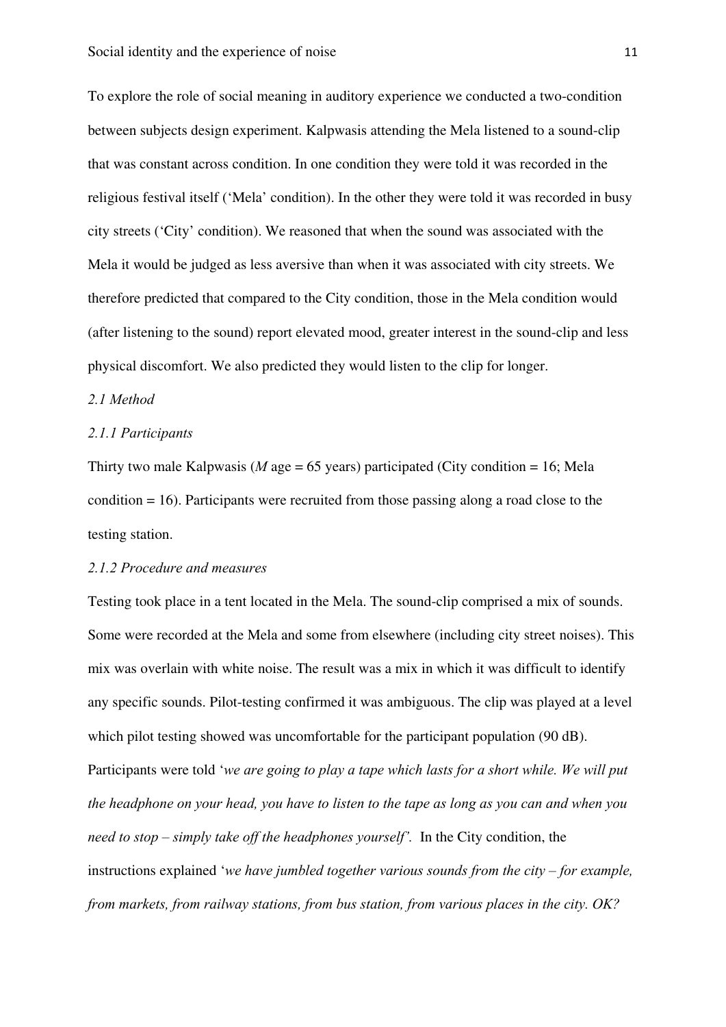To explore the role of social meaning in auditory experience we conducted a two-condition between subjects design experiment. Kalpwasis attending the Mela listened to a sound-clip that was constant across condition. In one condition they were told it was recorded in the religious festival itself ('Mela' condition). In the other they were told it was recorded in busy city streets ('City' condition). We reasoned that when the sound was associated with the Mela it would be judged as less aversive than when it was associated with city streets. We therefore predicted that compared to the City condition, those in the Mela condition would (after listening to the sound) report elevated mood, greater interest in the sound-clip and less physical discomfort. We also predicted they would listen to the clip for longer.

#### *2.1 Method*

## *2.1.1 Participants*

Thirty two male Kalpwasis ( $M$  age = 65 years) participated (City condition = 16; Mela condition = 16). Participants were recruited from those passing along a road close to the testing station.

## *2.1.2 Procedure and measures*

Testing took place in a tent located in the Mela. The sound-clip comprised a mix of sounds. Some were recorded at the Mela and some from elsewhere (including city street noises). This mix was overlain with white noise. The result was a mix in which it was difficult to identify any specific sounds. Pilot-testing confirmed it was ambiguous. The clip was played at a level which pilot testing showed was uncomfortable for the participant population (90 dB). Participants were told '*we are going to play a tape which lasts for a short while. We will put the headphone on your head, you have to listen to the tape as long as you can and when you need to stop – simply take off the headphones yourself'.* In the City condition, the instructions explained '*we have jumbled together various sounds from the city – for example, from markets, from railway stations, from bus station, from various places in the city. OK?*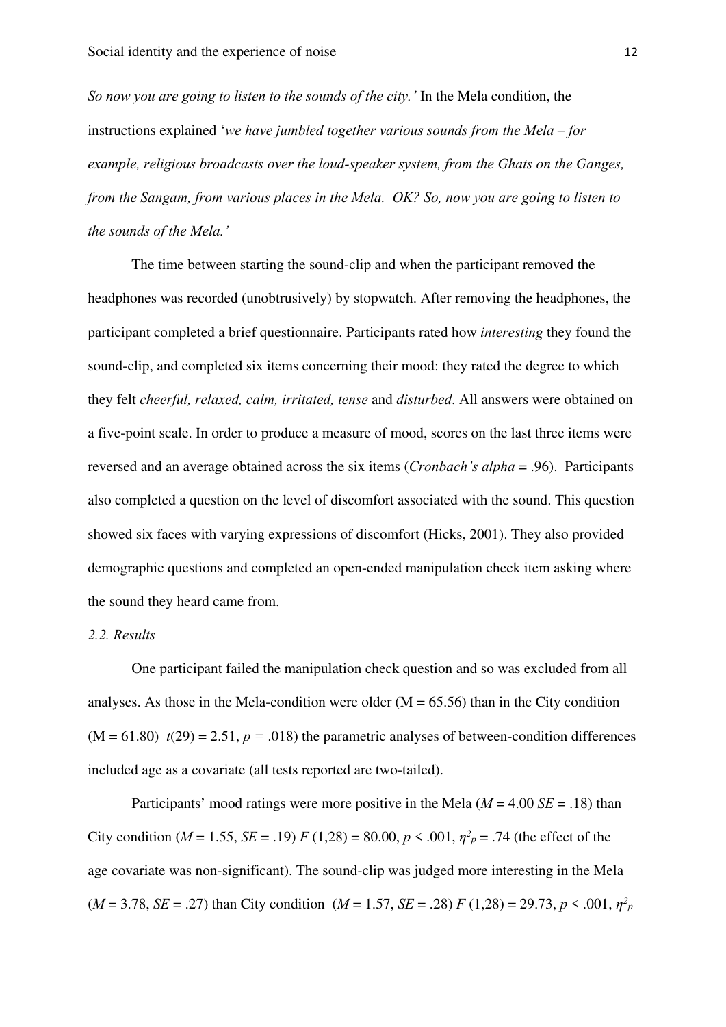*So now you are going to listen to the sounds of the city.'* In the Mela condition, the instructions explained '*we have jumbled together various sounds from the Mela – for example, religious broadcasts over the loud-speaker system, from the Ghats on the Ganges, from the Sangam, from various places in the Mela. OK? So, now you are going to listen to the sounds of the Mela.'* 

The time between starting the sound-clip and when the participant removed the headphones was recorded (unobtrusively) by stopwatch. After removing the headphones, the participant completed a brief questionnaire. Participants rated how *interesting* they found the sound-clip, and completed six items concerning their mood: they rated the degree to which they felt *cheerful, relaxed, calm, irritated, tense* and *disturbed*. All answers were obtained on a five-point scale. In order to produce a measure of mood, scores on the last three items were reversed and an average obtained across the six items (*Cronbach's alpha* = .96). Participants also completed a question on the level of discomfort associated with the sound. This question showed six faces with varying expressions of discomfort (Hicks, 2001). They also provided demographic questions and completed an open-ended manipulation check item asking where the sound they heard came from.

## *2.2. Results*

One participant failed the manipulation check question and so was excluded from all analyses. As those in the Mela-condition were older  $(M = 65.56)$  than in the City condition  $(M = 61.80)$   $t(29) = 2.51$ ,  $p = .018$ ) the parametric analyses of between-condition differences included age as a covariate (all tests reported are two-tailed).

Participants' mood ratings were more positive in the Mela  $(M = 4.00 \text{ } SE = .18)$  than City condition ( $M = 1.55$ ,  $SE = .19$ )  $F (1,28) = 80.00, p \le .001, \eta^2 p = .74$  (the effect of the age covariate was non-significant). The sound-clip was judged more interesting in the Mela  $(M = 3.78, SE = .27)$  than City condition  $(M = 1.57, SE = .28)$   $F (1,28) = 29.73, p \le .001, \eta^2 p$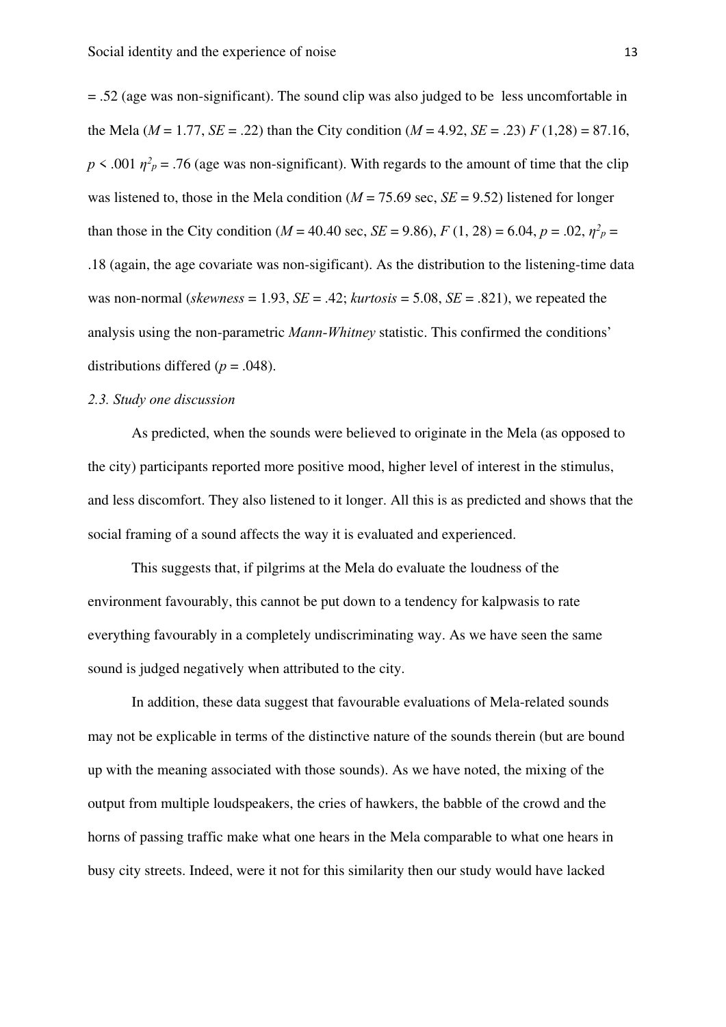= .52 (age was non-significant). The sound clip was also judged to be less uncomfortable in the Mela ( $M = 1.77$ ,  $SE = .22$ ) than the City condition ( $M = 4.92$ ,  $SE = .23$ )  $F(1,28) = 87.16$ ,  $p \leq 0.001 \eta^2$  = .76 (age was non-significant). With regards to the amount of time that the clip was listened to, those in the Mela condition  $(M = 75.69 \text{ sec}, SE = 9.52)$  listened for longer than those in the City condition ( $M = 40.40$  sec,  $SE = 9.86$ ),  $F(1, 28) = 6.04$ ,  $p = .02$ ,  $\eta^2 p =$ .18 (again, the age covariate was non-sigificant). As the distribution to the listening-time data was non-normal (*skewness* = 1.93,  $SE = .42$ ; *kurtosis* = 5.08,  $SE = .821$ ), we repeated the analysis using the non-parametric *Mann-Whitney* statistic. This confirmed the conditions' distributions differed ( $p = .048$ ).

#### *2.3. Study one discussion*

As predicted, when the sounds were believed to originate in the Mela (as opposed to the city) participants reported more positive mood, higher level of interest in the stimulus, and less discomfort. They also listened to it longer. All this is as predicted and shows that the social framing of a sound affects the way it is evaluated and experienced.

This suggests that, if pilgrims at the Mela do evaluate the loudness of the environment favourably, this cannot be put down to a tendency for kalpwasis to rate everything favourably in a completely undiscriminating way. As we have seen the same sound is judged negatively when attributed to the city.

In addition, these data suggest that favourable evaluations of Mela-related sounds may not be explicable in terms of the distinctive nature of the sounds therein (but are bound up with the meaning associated with those sounds). As we have noted, the mixing of the output from multiple loudspeakers, the cries of hawkers, the babble of the crowd and the horns of passing traffic make what one hears in the Mela comparable to what one hears in busy city streets. Indeed, were it not for this similarity then our study would have lacked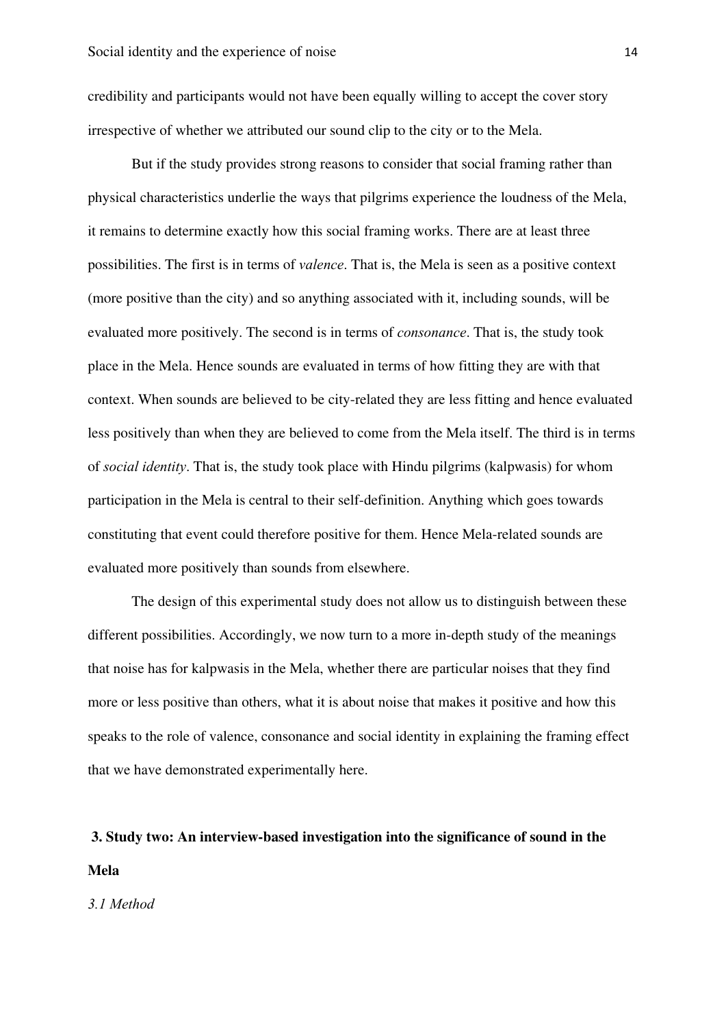credibility and participants would not have been equally willing to accept the cover story irrespective of whether we attributed our sound clip to the city or to the Mela.

But if the study provides strong reasons to consider that social framing rather than physical characteristics underlie the ways that pilgrims experience the loudness of the Mela, it remains to determine exactly how this social framing works. There are at least three possibilities. The first is in terms of *valence*. That is, the Mela is seen as a positive context (more positive than the city) and so anything associated with it, including sounds, will be evaluated more positively. The second is in terms of *consonance*. That is, the study took place in the Mela. Hence sounds are evaluated in terms of how fitting they are with that context. When sounds are believed to be city-related they are less fitting and hence evaluated less positively than when they are believed to come from the Mela itself. The third is in terms of *social identity*. That is, the study took place with Hindu pilgrims (kalpwasis) for whom participation in the Mela is central to their self-definition. Anything which goes towards constituting that event could therefore positive for them. Hence Mela-related sounds are evaluated more positively than sounds from elsewhere.

The design of this experimental study does not allow us to distinguish between these different possibilities. Accordingly, we now turn to a more in-depth study of the meanings that noise has for kalpwasis in the Mela, whether there are particular noises that they find more or less positive than others, what it is about noise that makes it positive and how this speaks to the role of valence, consonance and social identity in explaining the framing effect that we have demonstrated experimentally here.

# **3. Study two: An interview-based investigation into the significance of sound in the Mela**

#### *3.1 Method*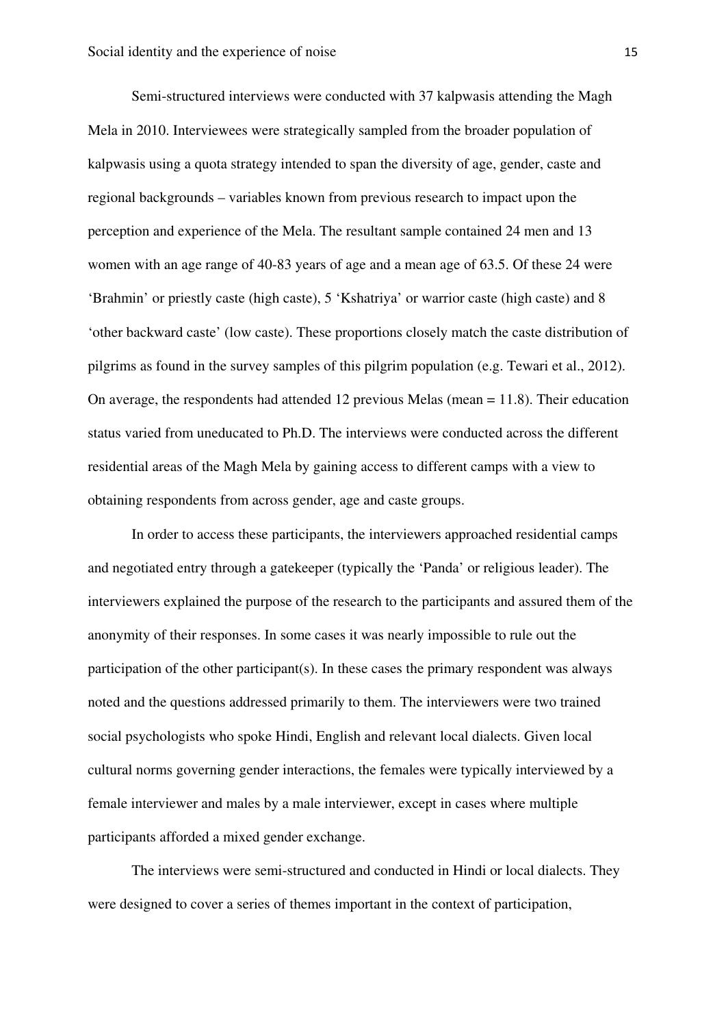Semi-structured interviews were conducted with 37 kalpwasis attending the Magh Mela in 2010. Interviewees were strategically sampled from the broader population of kalpwasis using a quota strategy intended to span the diversity of age, gender, caste and regional backgrounds – variables known from previous research to impact upon the perception and experience of the Mela. The resultant sample contained 24 men and 13 women with an age range of 40-83 years of age and a mean age of 63.5. Of these 24 were 'Brahmin' or priestly caste (high caste), 5 'Kshatriya' or warrior caste (high caste) and 8 'other backward caste' (low caste). These proportions closely match the caste distribution of pilgrims as found in the survey samples of this pilgrim population (e.g. Tewari et al., 2012). On average, the respondents had attended 12 previous Melas (mean  $= 11.8$ ). Their education status varied from uneducated to Ph.D. The interviews were conducted across the different residential areas of the Magh Mela by gaining access to different camps with a view to obtaining respondents from across gender, age and caste groups.

In order to access these participants, the interviewers approached residential camps and negotiated entry through a gatekeeper (typically the 'Panda' or religious leader). The interviewers explained the purpose of the research to the participants and assured them of the anonymity of their responses. In some cases it was nearly impossible to rule out the participation of the other participant(s). In these cases the primary respondent was always noted and the questions addressed primarily to them. The interviewers were two trained social psychologists who spoke Hindi, English and relevant local dialects. Given local cultural norms governing gender interactions, the females were typically interviewed by a female interviewer and males by a male interviewer, except in cases where multiple participants afforded a mixed gender exchange.

The interviews were semi-structured and conducted in Hindi or local dialects. They were designed to cover a series of themes important in the context of participation,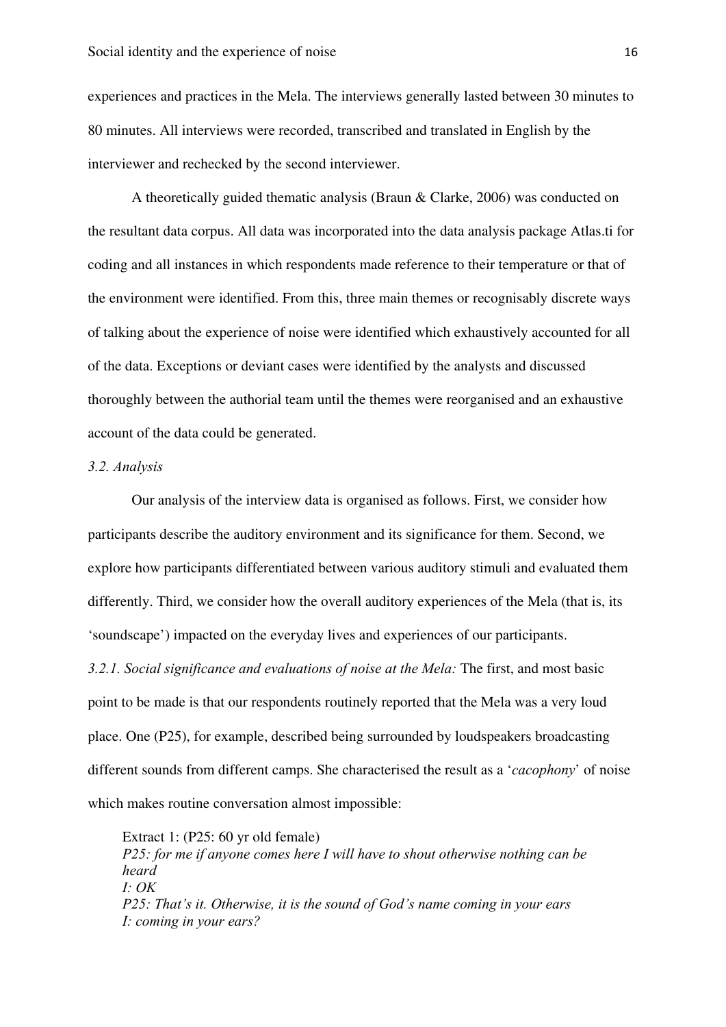experiences and practices in the Mela. The interviews generally lasted between 30 minutes to 80 minutes. All interviews were recorded, transcribed and translated in English by the interviewer and rechecked by the second interviewer.

A theoretically guided thematic analysis (Braun & Clarke, 2006) was conducted on the resultant data corpus. All data was incorporated into the data analysis package Atlas.ti for coding and all instances in which respondents made reference to their temperature or that of the environment were identified. From this, three main themes or recognisably discrete ways of talking about the experience of noise were identified which exhaustively accounted for all of the data. Exceptions or deviant cases were identified by the analysts and discussed thoroughly between the authorial team until the themes were reorganised and an exhaustive account of the data could be generated.

## *3.2. Analysis*

Our analysis of the interview data is organised as follows. First, we consider how participants describe the auditory environment and its significance for them. Second, we explore how participants differentiated between various auditory stimuli and evaluated them differently. Third, we consider how the overall auditory experiences of the Mela (that is, its 'soundscape') impacted on the everyday lives and experiences of our participants. *3.2.1. Social significance and evaluations of noise at the Mela:* The first, and most basic point to be made is that our respondents routinely reported that the Mela was a very loud place. One (P25), for example, described being surrounded by loudspeakers broadcasting different sounds from different camps. She characterised the result as a '*cacophony*' of noise which makes routine conversation almost impossible:

Extract 1: (P25: 60 yr old female) *P25: for me if anyone comes here I will have to shout otherwise nothing can be heard I: OK P25: That's it. Otherwise, it is the sound of God's name coming in your ears I: coming in your ears?*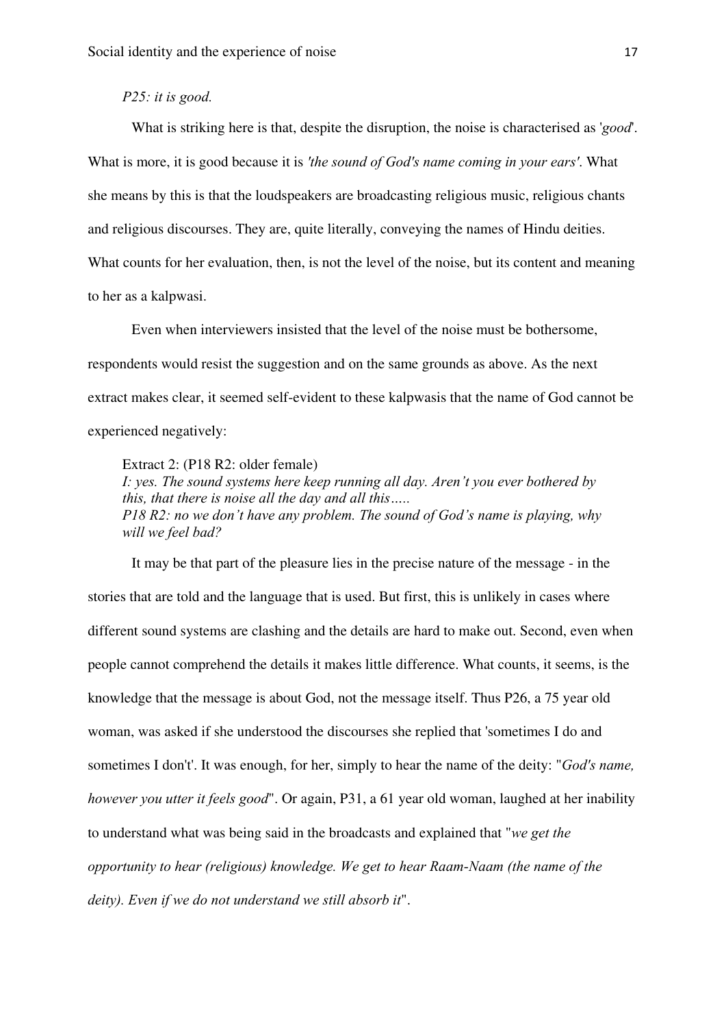## *P25: it is good.*

What is striking here is that, despite the disruption, the noise is characterised as '*good*'. What is more, it is good because it is *'the sound of God's name coming in your ears'*. What she means by this is that the loudspeakers are broadcasting religious music, religious chants and religious discourses. They are, quite literally, conveying the names of Hindu deities. What counts for her evaluation, then, is not the level of the noise, but its content and meaning to her as a kalpwasi.

Even when interviewers insisted that the level of the noise must be bothersome, respondents would resist the suggestion and on the same grounds as above. As the next extract makes clear, it seemed self-evident to these kalpwasis that the name of God cannot be experienced negatively:

Extract 2: (P18 R2: older female)

*I: yes. The sound systems here keep running all day. Aren't you ever bothered by this, that there is noise all the day and all this….. P18 R2: no we don't have any problem. The sound of God's name is playing, why will we feel bad?* 

It may be that part of the pleasure lies in the precise nature of the message - in the stories that are told and the language that is used. But first, this is unlikely in cases where different sound systems are clashing and the details are hard to make out. Second, even when people cannot comprehend the details it makes little difference. What counts, it seems, is the knowledge that the message is about God, not the message itself. Thus P26, a 75 year old woman, was asked if she understood the discourses she replied that 'sometimes I do and sometimes I don't'. It was enough, for her, simply to hear the name of the deity: "*God's name, however you utter it feels good*". Or again, P31, a 61 year old woman, laughed at her inability to understand what was being said in the broadcasts and explained that "*we get the opportunity to hear (religious) knowledge. We get to hear Raam-Naam (the name of the deity). Even if we do not understand we still absorb it*".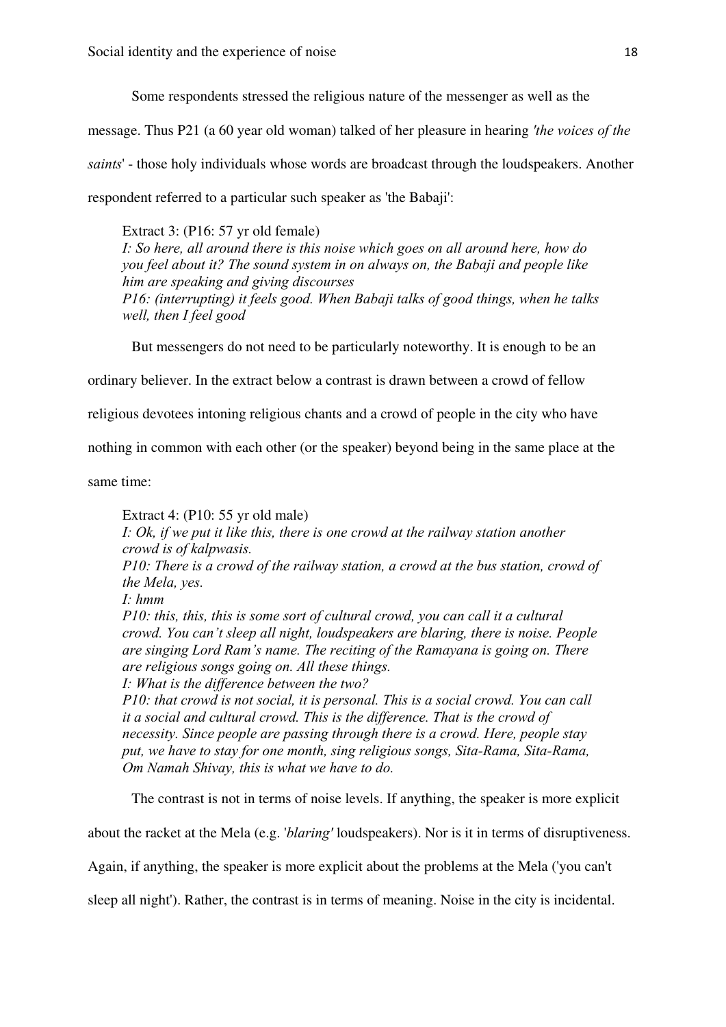Some respondents stressed the religious nature of the messenger as well as the

message. Thus P21 (a 60 year old woman) talked of her pleasure in hearing *'the voices of the saints*' - those holy individuals whose words are broadcast through the loudspeakers. Another respondent referred to a particular such speaker as 'the Babaji':

Extract 3: (P16: 57 yr old female) *I: So here, all around there is this noise which goes on all around here, how do you feel about it? The sound system in on always on, the Babaji and people like him are speaking and giving discourses P16: (interrupting) it feels good. When Babaji talks of good things, when he talks well, then I feel good* 

But messengers do not need to be particularly noteworthy. It is enough to be an

ordinary believer. In the extract below a contrast is drawn between a crowd of fellow

religious devotees intoning religious chants and a crowd of people in the city who have

nothing in common with each other (or the speaker) beyond being in the same place at the

same time:

Extract 4: (P10: 55 yr old male) *I: Ok, if we put it like this, there is one crowd at the railway station another crowd is of kalpwasis. P10: There is a crowd of the railway station, a crowd at the bus station, crowd of the Mela, yes. I: hmm P10: this, this, this is some sort of cultural crowd, you can call it a cultural crowd. You can't sleep all night, loudspeakers are blaring, there is noise. People are singing Lord Ram's name. The reciting of the Ramayana is going on. There are religious songs going on. All these things. I: What is the difference between the two? P10: that crowd is not social, it is personal. This is a social crowd. You can call* 

*it a social and cultural crowd. This is the difference. That is the crowd of necessity. Since people are passing through there is a crowd. Here, people stay put, we have to stay for one month, sing religious songs, Sita-Rama, Sita-Rama, Om Namah Shivay, this is what we have to do.* 

The contrast is not in terms of noise levels. If anything, the speaker is more explicit

about the racket at the Mela (e.g. '*blaring'* loudspeakers). Nor is it in terms of disruptiveness.

Again, if anything, the speaker is more explicit about the problems at the Mela ('you can't

sleep all night'). Rather, the contrast is in terms of meaning. Noise in the city is incidental.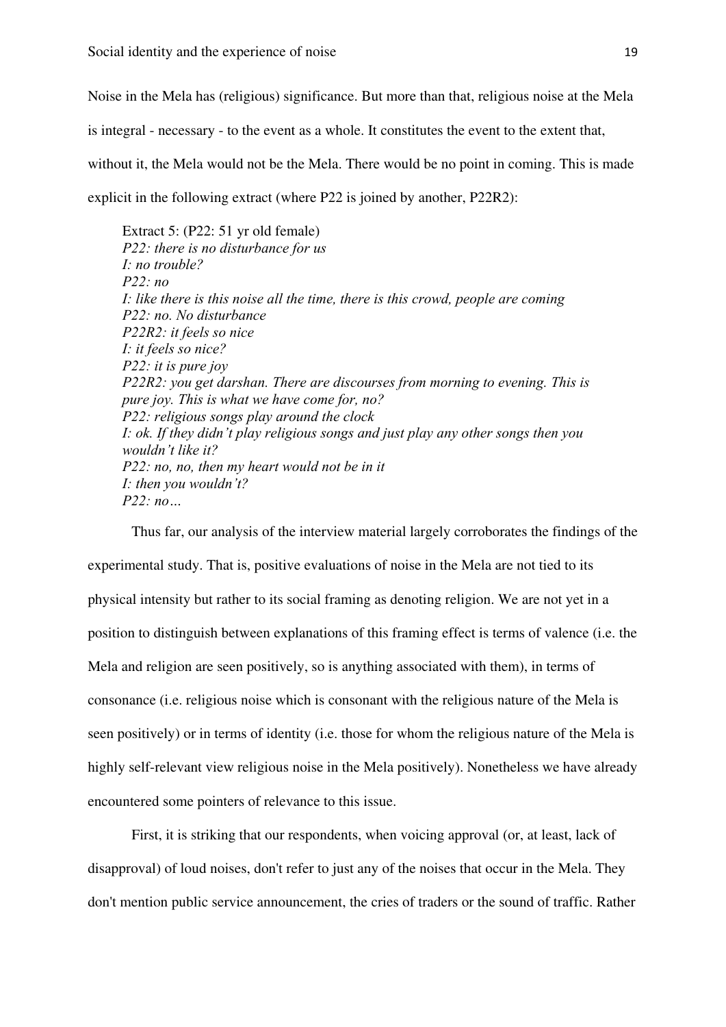Noise in the Mela has (religious) significance. But more than that, religious noise at the Mela is integral - necessary - to the event as a whole. It constitutes the event to the extent that, without it, the Mela would not be the Mela. There would be no point in coming. This is made explicit in the following extract (where P22 is joined by another, P22R2):

Extract 5: (P22: 51 yr old female) *P22: there is no disturbance for us I: no trouble? P22: no I: like there is this noise all the time, there is this crowd, people are coming P22: no. No disturbance P22R2: it feels so nice I: it feels so nice? P22: it is pure joy P22R2: you get darshan. There are discourses from morning to evening. This is pure joy. This is what we have come for, no? P22: religious songs play around the clock I: ok. If they didn't play religious songs and just play any other songs then you wouldn't like it? P22: no, no, then my heart would not be in it I: then you wouldn't? P22: no…* 

Thus far, our analysis of the interview material largely corroborates the findings of the experimental study. That is, positive evaluations of noise in the Mela are not tied to its physical intensity but rather to its social framing as denoting religion. We are not yet in a position to distinguish between explanations of this framing effect is terms of valence (i.e. the Mela and religion are seen positively, so is anything associated with them), in terms of consonance (i.e. religious noise which is consonant with the religious nature of the Mela is seen positively) or in terms of identity (i.e. those for whom the religious nature of the Mela is highly self-relevant view religious noise in the Mela positively). Nonetheless we have already encountered some pointers of relevance to this issue.

First, it is striking that our respondents, when voicing approval (or, at least, lack of disapproval) of loud noises, don't refer to just any of the noises that occur in the Mela. They don't mention public service announcement, the cries of traders or the sound of traffic. Rather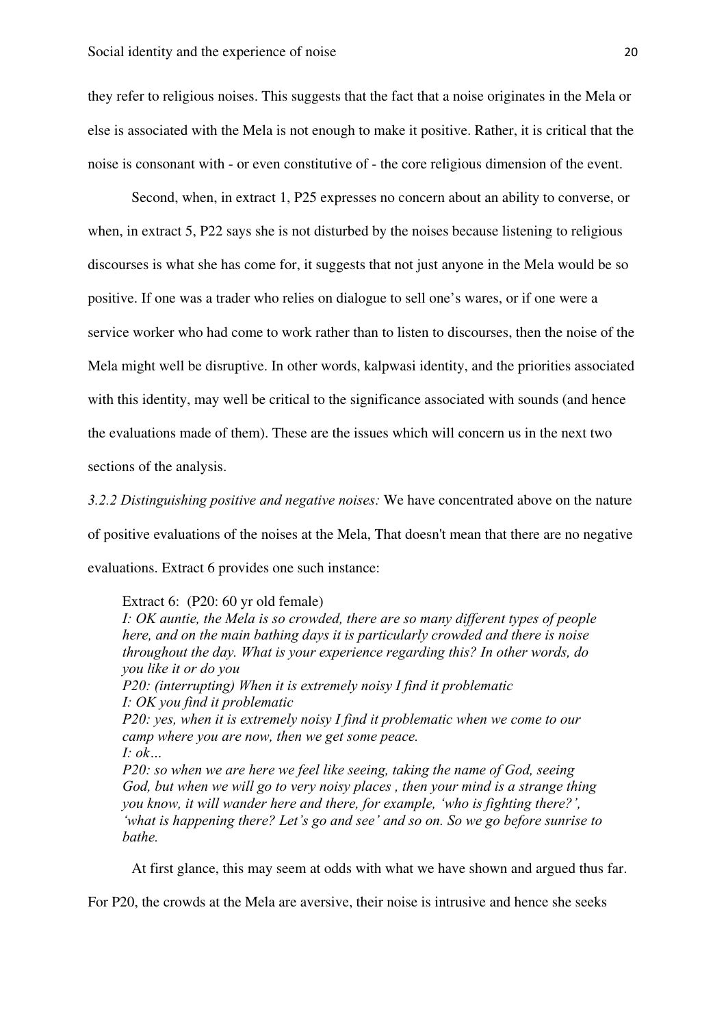they refer to religious noises. This suggests that the fact that a noise originates in the Mela or else is associated with the Mela is not enough to make it positive. Rather, it is critical that the noise is consonant with - or even constitutive of - the core religious dimension of the event.

Second, when, in extract 1, P25 expresses no concern about an ability to converse, or when, in extract 5, P22 says she is not disturbed by the noises because listening to religious discourses is what she has come for, it suggests that not just anyone in the Mela would be so positive. If one was a trader who relies on dialogue to sell one's wares, or if one were a service worker who had come to work rather than to listen to discourses, then the noise of the Mela might well be disruptive. In other words, kalpwasi identity, and the priorities associated with this identity, may well be critical to the significance associated with sounds (and hence the evaluations made of them). These are the issues which will concern us in the next two sections of the analysis.

*3.2.2 Distinguishing positive and negative noises:* We have concentrated above on the nature of positive evaluations of the noises at the Mela, That doesn't mean that there are no negative evaluations. Extract 6 provides one such instance:

#### Extract 6: (P20: 60 yr old female)

*I: OK auntie, the Mela is so crowded, there are so many different types of people here, and on the main bathing days it is particularly crowded and there is noise throughout the day. What is your experience regarding this? In other words, do you like it or do you P20: (interrupting) When it is extremely noisy I find it problematic I: OK you find it problematic P20: yes, when it is extremely noisy I find it problematic when we come to our camp where you are now, then we get some peace. I: ok…* 

*P20: so when we are here we feel like seeing, taking the name of God, seeing God, but when we will go to very noisy places , then your mind is a strange thing you know, it will wander here and there, for example, 'who is fighting there?', 'what is happening there? Let's go and see' and so on. So we go before sunrise to bathe.* 

At first glance, this may seem at odds with what we have shown and argued thus far.

For P20, the crowds at the Mela are aversive, their noise is intrusive and hence she seeks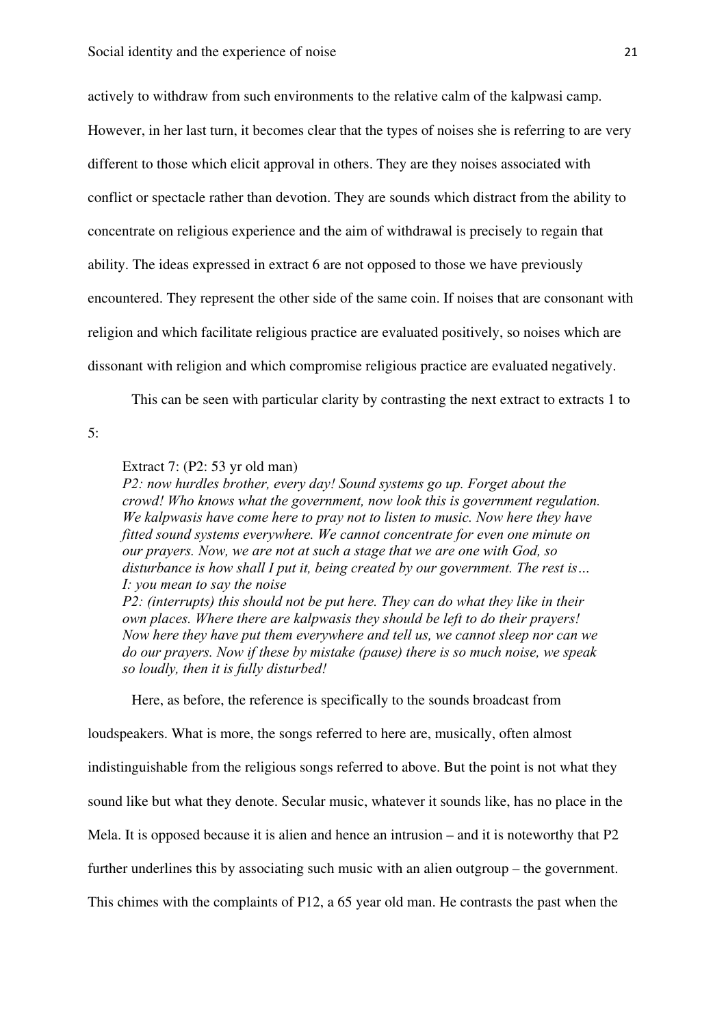actively to withdraw from such environments to the relative calm of the kalpwasi camp. However, in her last turn, it becomes clear that the types of noises she is referring to are very different to those which elicit approval in others. They are they noises associated with conflict or spectacle rather than devotion. They are sounds which distract from the ability to concentrate on religious experience and the aim of withdrawal is precisely to regain that ability. The ideas expressed in extract 6 are not opposed to those we have previously encountered. They represent the other side of the same coin. If noises that are consonant with religion and which facilitate religious practice are evaluated positively, so noises which are dissonant with religion and which compromise religious practice are evaluated negatively.

This can be seen with particular clarity by contrasting the next extract to extracts 1 to

5:

Extract 7: (P2: 53 yr old man)

*P2: now hurdles brother, every day! Sound systems go up. Forget about the crowd! Who knows what the government, now look this is government regulation. We kalpwasis have come here to pray not to listen to music. Now here they have fitted sound systems everywhere. We cannot concentrate for even one minute on our prayers. Now, we are not at such a stage that we are one with God, so disturbance is how shall I put it, being created by our government. The rest is… I: you mean to say the noise P2: (interrupts) this should not be put here. They can do what they like in their own places. Where there are kalpwasis they should be left to do their prayers! Now here they have put them everywhere and tell us, we cannot sleep nor can we do our prayers. Now if these by mistake (pause) there is so much noise, we speak so loudly, then it is fully disturbed!* 

Here, as before, the reference is specifically to the sounds broadcast from

loudspeakers. What is more, the songs referred to here are, musically, often almost indistinguishable from the religious songs referred to above. But the point is not what they sound like but what they denote. Secular music, whatever it sounds like, has no place in the Mela. It is opposed because it is alien and hence an intrusion – and it is noteworthy that P2 further underlines this by associating such music with an alien outgroup – the government. This chimes with the complaints of P12, a 65 year old man. He contrasts the past when the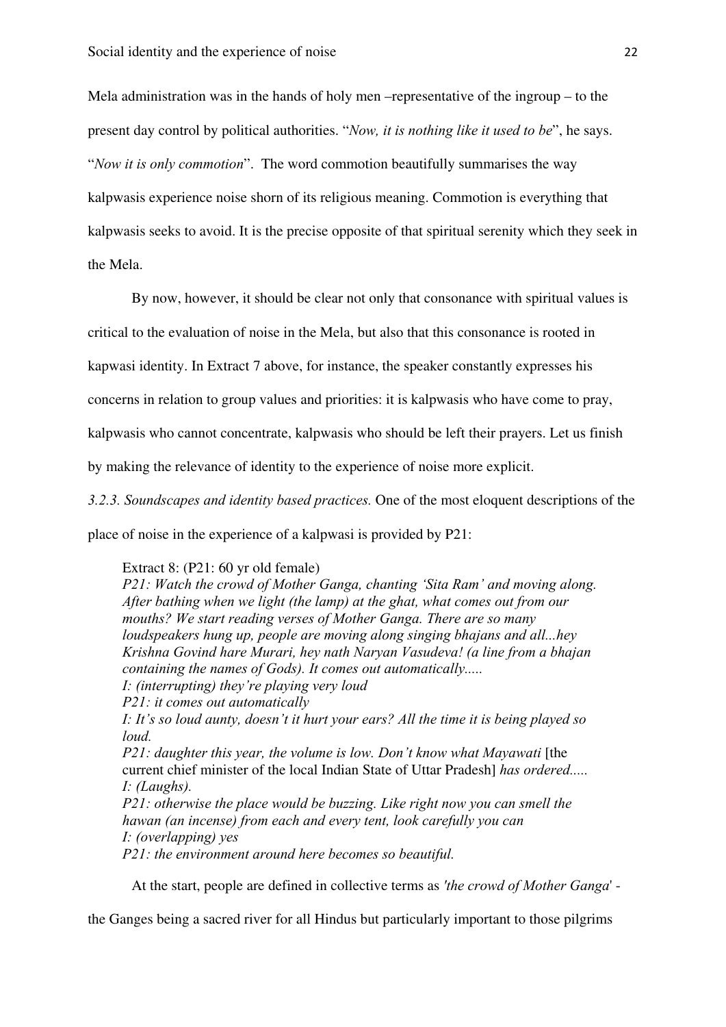Mela administration was in the hands of holy men –representative of the ingroup – to the present day control by political authorities. "*Now, it is nothing like it used to be*", he says. "*Now it is only commotion*". The word commotion beautifully summarises the way kalpwasis experience noise shorn of its religious meaning. Commotion is everything that kalpwasis seeks to avoid. It is the precise opposite of that spiritual serenity which they seek in the Mela.

By now, however, it should be clear not only that consonance with spiritual values is

critical to the evaluation of noise in the Mela, but also that this consonance is rooted in

kapwasi identity. In Extract 7 above, for instance, the speaker constantly expresses his

concerns in relation to group values and priorities: it is kalpwasis who have come to pray,

kalpwasis who cannot concentrate, kalpwasis who should be left their prayers. Let us finish

by making the relevance of identity to the experience of noise more explicit.

*3.2.3. Soundscapes and identity based practices.* One of the most eloquent descriptions of the place of noise in the experience of a kalpwasi is provided by P21:

Extract 8: (P21: 60 yr old female)

*P21: Watch the crowd of Mother Ganga, chanting 'Sita Ram' and moving along. After bathing when we light (the lamp) at the ghat, what comes out from our mouths? We start reading verses of Mother Ganga. There are so many loudspeakers hung up, people are moving along singing bhajans and all...hey Krishna Govind hare Murari, hey nath Naryan Vasudeva! (a line from a bhajan containing the names of Gods). It comes out automatically..... I: (interrupting) they're playing very loud P21: it comes out automatically I: It's so loud aunty, doesn't it hurt your ears? All the time it is being played so loud.* 

*P21: daughter this year, the volume is low. Don't know what Mayawati* [the current chief minister of the local Indian State of Uttar Pradesh] *has ordered..... I: (Laughs).* 

*P21: otherwise the place would be buzzing. Like right now you can smell the hawan (an incense) from each and every tent, look carefully you can I: (overlapping) yes* 

*P21: the environment around here becomes so beautiful.* 

At the start, people are defined in collective terms as *'the crowd of Mother Ganga*' -

the Ganges being a sacred river for all Hindus but particularly important to those pilgrims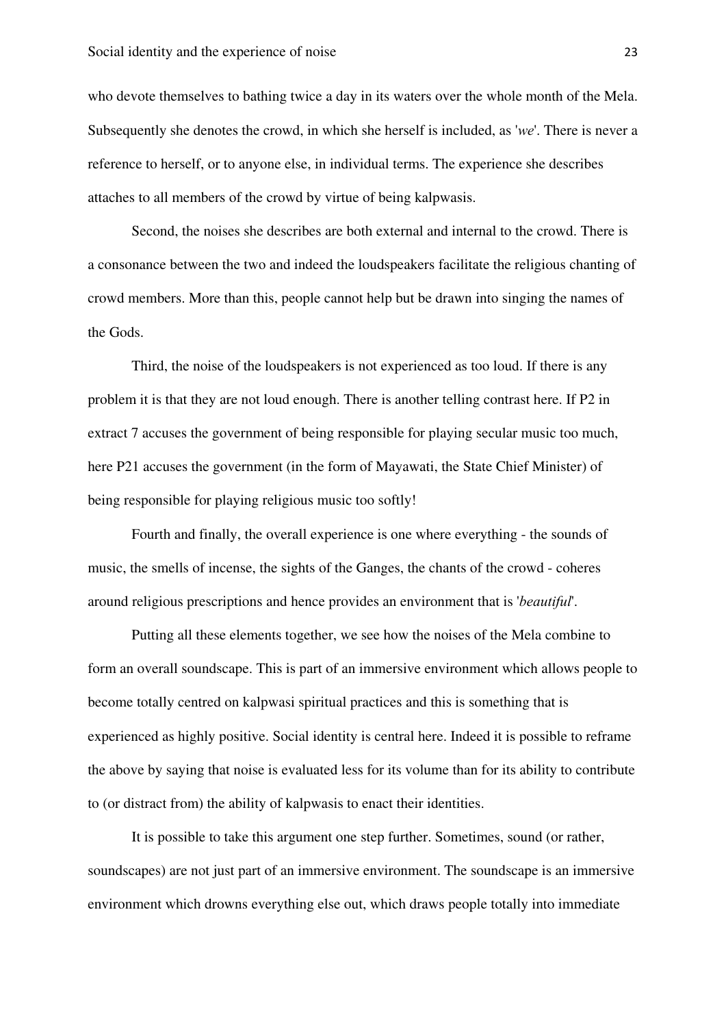who devote themselves to bathing twice a day in its waters over the whole month of the Mela. Subsequently she denotes the crowd, in which she herself is included, as '*we*'. There is never a reference to herself, or to anyone else, in individual terms. The experience she describes attaches to all members of the crowd by virtue of being kalpwasis.

Second, the noises she describes are both external and internal to the crowd. There is a consonance between the two and indeed the loudspeakers facilitate the religious chanting of crowd members. More than this, people cannot help but be drawn into singing the names of the Gods.

Third, the noise of the loudspeakers is not experienced as too loud. If there is any problem it is that they are not loud enough. There is another telling contrast here. If P2 in extract 7 accuses the government of being responsible for playing secular music too much, here P21 accuses the government (in the form of Mayawati, the State Chief Minister) of being responsible for playing religious music too softly!

Fourth and finally, the overall experience is one where everything - the sounds of music, the smells of incense, the sights of the Ganges, the chants of the crowd - coheres around religious prescriptions and hence provides an environment that is '*beautiful*'.

Putting all these elements together, we see how the noises of the Mela combine to form an overall soundscape. This is part of an immersive environment which allows people to become totally centred on kalpwasi spiritual practices and this is something that is experienced as highly positive. Social identity is central here. Indeed it is possible to reframe the above by saying that noise is evaluated less for its volume than for its ability to contribute to (or distract from) the ability of kalpwasis to enact their identities.

It is possible to take this argument one step further. Sometimes, sound (or rather, soundscapes) are not just part of an immersive environment. The soundscape is an immersive environment which drowns everything else out, which draws people totally into immediate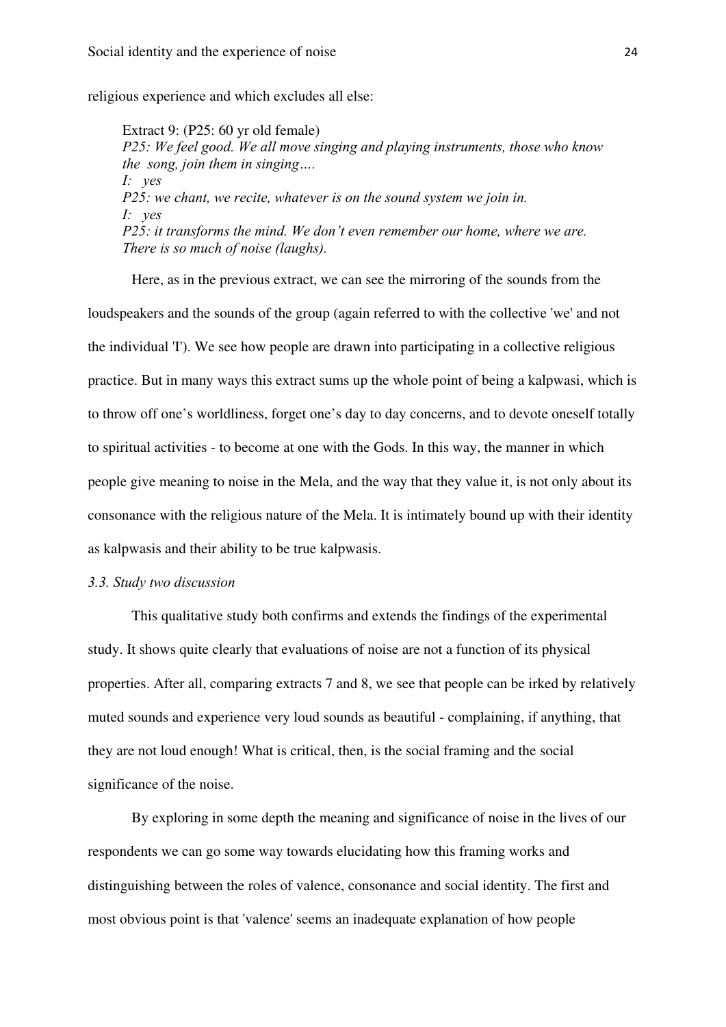religious experience and which excludes all else:

Extract 9: (P25: 60 yr old female) *P25: We feel good. We all move singing and playing instruments, those who know the song, join them in singing…. I: yes P25: we chant, we recite, whatever is on the sound system we join in. I: yes P25: it transforms the mind. We don't even remember our home, where we are. There is so much of noise (laughs).* 

Here, as in the previous extract, we can see the mirroring of the sounds from the loudspeakers and the sounds of the group (again referred to with the collective 'we' and not the individual 'I'). We see how people are drawn into participating in a collective religious practice. But in many ways this extract sums up the whole point of being a kalpwasi, which is to throw off one's worldliness, forget one's day to day concerns, and to devote oneself totally to spiritual activities - to become at one with the Gods. In this way, the manner in which people give meaning to noise in the Mela, and the way that they value it, is not only about its consonance with the religious nature of the Mela. It is intimately bound up with their identity as kalpwasis and their ability to be true kalpwasis.

## *3.3. Study two discussion*

This qualitative study both confirms and extends the findings of the experimental study. It shows quite clearly that evaluations of noise are not a function of its physical properties. After all, comparing extracts 7 and 8, we see that people can be irked by relatively muted sounds and experience very loud sounds as beautiful - complaining, if anything, that they are not loud enough! What is critical, then, is the social framing and the social significance of the noise.

By exploring in some depth the meaning and significance of noise in the lives of our respondents we can go some way towards elucidating how this framing works and distinguishing between the roles of valence, consonance and social identity. The first and most obvious point is that 'valence' seems an inadequate explanation of how people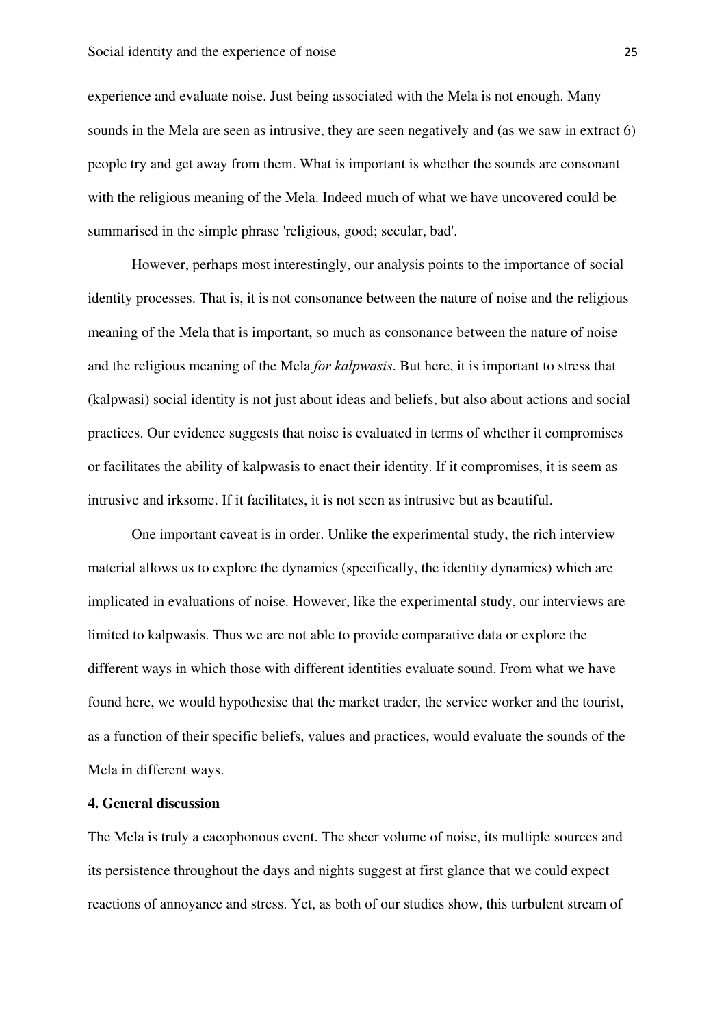experience and evaluate noise. Just being associated with the Mela is not enough. Many sounds in the Mela are seen as intrusive, they are seen negatively and (as we saw in extract 6) people try and get away from them. What is important is whether the sounds are consonant with the religious meaning of the Mela. Indeed much of what we have uncovered could be summarised in the simple phrase 'religious, good; secular, bad'.

However, perhaps most interestingly, our analysis points to the importance of social identity processes. That is, it is not consonance between the nature of noise and the religious meaning of the Mela that is important, so much as consonance between the nature of noise and the religious meaning of the Mela *for kalpwasis*. But here, it is important to stress that (kalpwasi) social identity is not just about ideas and beliefs, but also about actions and social practices. Our evidence suggests that noise is evaluated in terms of whether it compromises or facilitates the ability of kalpwasis to enact their identity. If it compromises, it is seem as intrusive and irksome. If it facilitates, it is not seen as intrusive but as beautiful.

One important caveat is in order. Unlike the experimental study, the rich interview material allows us to explore the dynamics (specifically, the identity dynamics) which are implicated in evaluations of noise. However, like the experimental study, our interviews are limited to kalpwasis. Thus we are not able to provide comparative data or explore the different ways in which those with different identities evaluate sound. From what we have found here, we would hypothesise that the market trader, the service worker and the tourist, as a function of their specific beliefs, values and practices, would evaluate the sounds of the Mela in different ways.

#### **4. General discussion**

The Mela is truly a cacophonous event. The sheer volume of noise, its multiple sources and its persistence throughout the days and nights suggest at first glance that we could expect reactions of annoyance and stress. Yet, as both of our studies show, this turbulent stream of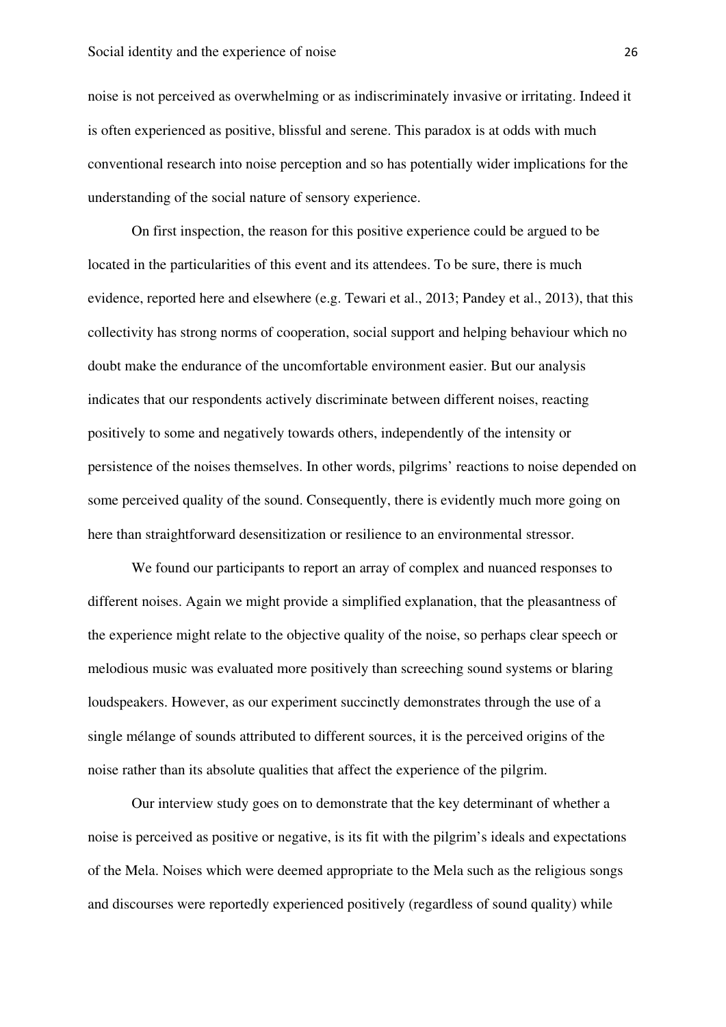noise is not perceived as overwhelming or as indiscriminately invasive or irritating. Indeed it is often experienced as positive, blissful and serene. This paradox is at odds with much conventional research into noise perception and so has potentially wider implications for the understanding of the social nature of sensory experience.

On first inspection, the reason for this positive experience could be argued to be located in the particularities of this event and its attendees. To be sure, there is much evidence, reported here and elsewhere (e.g. Tewari et al., 2013; Pandey et al., 2013), that this collectivity has strong norms of cooperation, social support and helping behaviour which no doubt make the endurance of the uncomfortable environment easier. But our analysis indicates that our respondents actively discriminate between different noises, reacting positively to some and negatively towards others, independently of the intensity or persistence of the noises themselves. In other words, pilgrims' reactions to noise depended on some perceived quality of the sound. Consequently, there is evidently much more going on here than straightforward desensitization or resilience to an environmental stressor.

We found our participants to report an array of complex and nuanced responses to different noises. Again we might provide a simplified explanation, that the pleasantness of the experience might relate to the objective quality of the noise, so perhaps clear speech or melodious music was evaluated more positively than screeching sound systems or blaring loudspeakers. However, as our experiment succinctly demonstrates through the use of a single mélange of sounds attributed to different sources, it is the perceived origins of the noise rather than its absolute qualities that affect the experience of the pilgrim.

Our interview study goes on to demonstrate that the key determinant of whether a noise is perceived as positive or negative, is its fit with the pilgrim's ideals and expectations of the Mela. Noises which were deemed appropriate to the Mela such as the religious songs and discourses were reportedly experienced positively (regardless of sound quality) while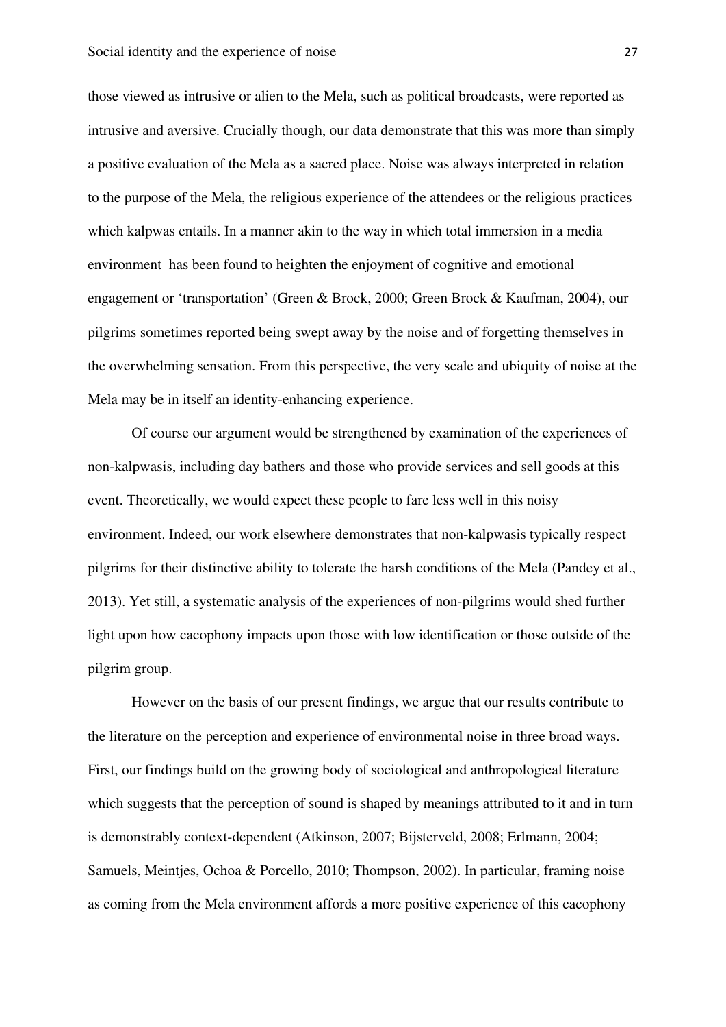those viewed as intrusive or alien to the Mela, such as political broadcasts, were reported as intrusive and aversive. Crucially though, our data demonstrate that this was more than simply a positive evaluation of the Mela as a sacred place. Noise was always interpreted in relation to the purpose of the Mela, the religious experience of the attendees or the religious practices which kalpwas entails. In a manner akin to the way in which total immersion in a media environment has been found to heighten the enjoyment of cognitive and emotional engagement or 'transportation' (Green & Brock, 2000; Green Brock & Kaufman, 2004), our pilgrims sometimes reported being swept away by the noise and of forgetting themselves in the overwhelming sensation. From this perspective, the very scale and ubiquity of noise at the Mela may be in itself an identity-enhancing experience.

Of course our argument would be strengthened by examination of the experiences of non-kalpwasis, including day bathers and those who provide services and sell goods at this event. Theoretically, we would expect these people to fare less well in this noisy environment. Indeed, our work elsewhere demonstrates that non-kalpwasis typically respect pilgrims for their distinctive ability to tolerate the harsh conditions of the Mela (Pandey et al., 2013). Yet still, a systematic analysis of the experiences of non-pilgrims would shed further light upon how cacophony impacts upon those with low identification or those outside of the pilgrim group.

However on the basis of our present findings, we argue that our results contribute to the literature on the perception and experience of environmental noise in three broad ways. First, our findings build on the growing body of sociological and anthropological literature which suggests that the perception of sound is shaped by meanings attributed to it and in turn is demonstrably context-dependent (Atkinson, 2007; Bijsterveld, 2008; Erlmann, 2004; Samuels, Meintjes, Ochoa & Porcello, 2010; Thompson, 2002). In particular, framing noise as coming from the Mela environment affords a more positive experience of this cacophony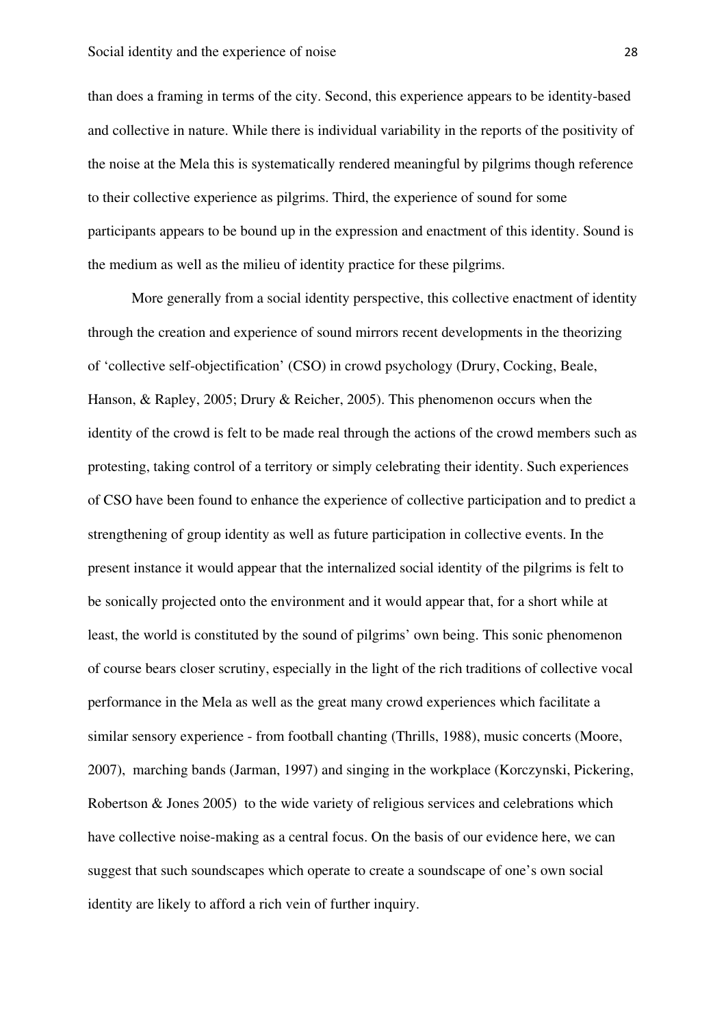than does a framing in terms of the city. Second, this experience appears to be identity-based and collective in nature. While there is individual variability in the reports of the positivity of the noise at the Mela this is systematically rendered meaningful by pilgrims though reference to their collective experience as pilgrims. Third, the experience of sound for some participants appears to be bound up in the expression and enactment of this identity. Sound is the medium as well as the milieu of identity practice for these pilgrims.

More generally from a social identity perspective, this collective enactment of identity through the creation and experience of sound mirrors recent developments in the theorizing of 'collective self-objectification' (CSO) in crowd psychology (Drury, Cocking, Beale, Hanson, & Rapley, 2005; Drury & Reicher, 2005). This phenomenon occurs when the identity of the crowd is felt to be made real through the actions of the crowd members such as protesting, taking control of a territory or simply celebrating their identity. Such experiences of CSO have been found to enhance the experience of collective participation and to predict a strengthening of group identity as well as future participation in collective events. In the present instance it would appear that the internalized social identity of the pilgrims is felt to be sonically projected onto the environment and it would appear that, for a short while at least, the world is constituted by the sound of pilgrims' own being. This sonic phenomenon of course bears closer scrutiny, especially in the light of the rich traditions of collective vocal performance in the Mela as well as the great many crowd experiences which facilitate a similar sensory experience - from football chanting (Thrills, 1988), music concerts (Moore, 2007), marching bands (Jarman, 1997) and singing in the workplace (Korczynski, Pickering, Robertson & Jones 2005) to the wide variety of religious services and celebrations which have collective noise-making as a central focus. On the basis of our evidence here, we can suggest that such soundscapes which operate to create a soundscape of one's own social identity are likely to afford a rich vein of further inquiry.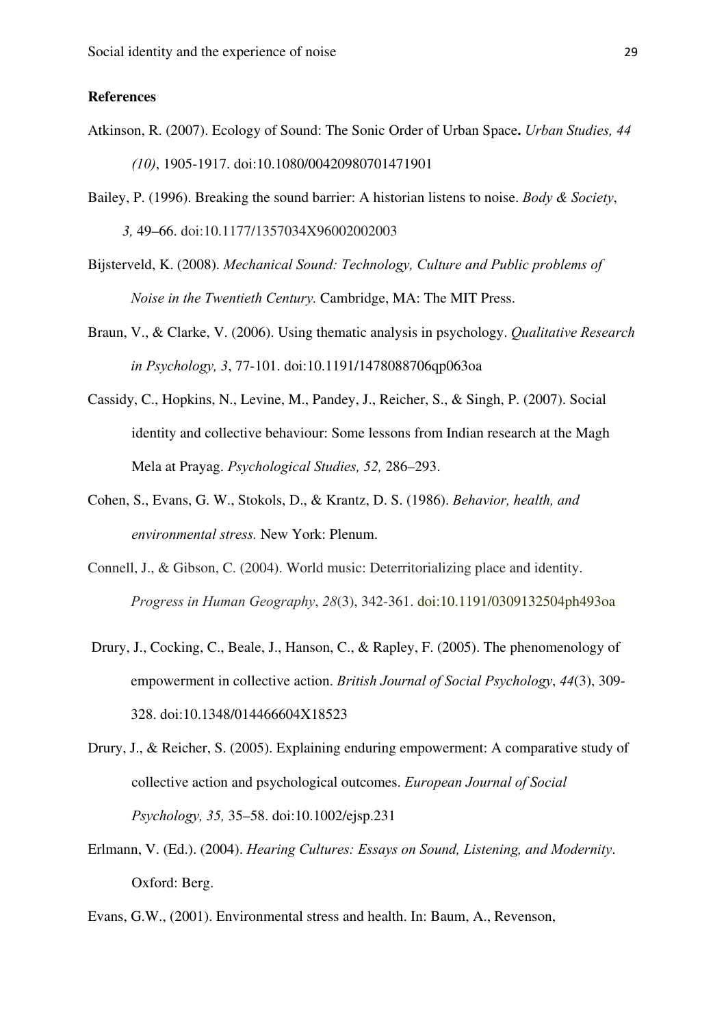#### **References**

- Atkinson, R. (2007). Ecology of Sound: The Sonic Order of Urban Space**.** *Urban Studies, 44 (10)*, 1905-1917. doi:10.1080/00420980701471901
- Bailey, P. (1996). Breaking the sound barrier: A historian listens to noise. *Body & Society*, *3,* 49–66. doi:10.1177/1357034X96002002003
- Bijsterveld, K. (2008). *Mechanical Sound: Technology, Culture and Public problems of Noise in the Twentieth Century.* Cambridge, MA: The MIT Press.
- Braun, V., & Clarke, V. (2006). Using thematic analysis in psychology. *Qualitative Research in Psychology, 3*, 77-101. doi:10.1191/1478088706qp063oa
- Cassidy, C., Hopkins, N., Levine, M., Pandey, J., Reicher, S., & Singh, P. (2007). Social identity and collective behaviour: Some lessons from Indian research at the Magh Mela at Prayag. *Psychological Studies, 52,* 286–293.
- Cohen, S., Evans, G. W., Stokols, D., & Krantz, D. S. (1986). *Behavior, health, and environmental stress.* New York: Plenum.
- Connell, J., & Gibson, C. (2004). World music: Deterritorializing place and identity. *Progress in Human Geography*, *28*(3), 342-361. doi:10.1191/0309132504ph493oa
- Drury, J., Cocking, C., Beale, J., Hanson, C., & Rapley, F. (2005). The phenomenology of empowerment in collective action. *British Journal of Social Psychology*, *44*(3), 309- 328. doi:10.1348/014466604X18523
- Drury, J., & Reicher, S. (2005). Explaining enduring empowerment: A comparative study of collective action and psychological outcomes. *European Journal of Social Psychology, 35,* 35–58. doi:10.1002/ejsp.231
- Erlmann, V. (Ed.). (2004). *Hearing Cultures: Essays on Sound, Listening, and Modernity*. Oxford: Berg.

Evans, G.W., (2001). Environmental stress and health. In: Baum, A., Revenson,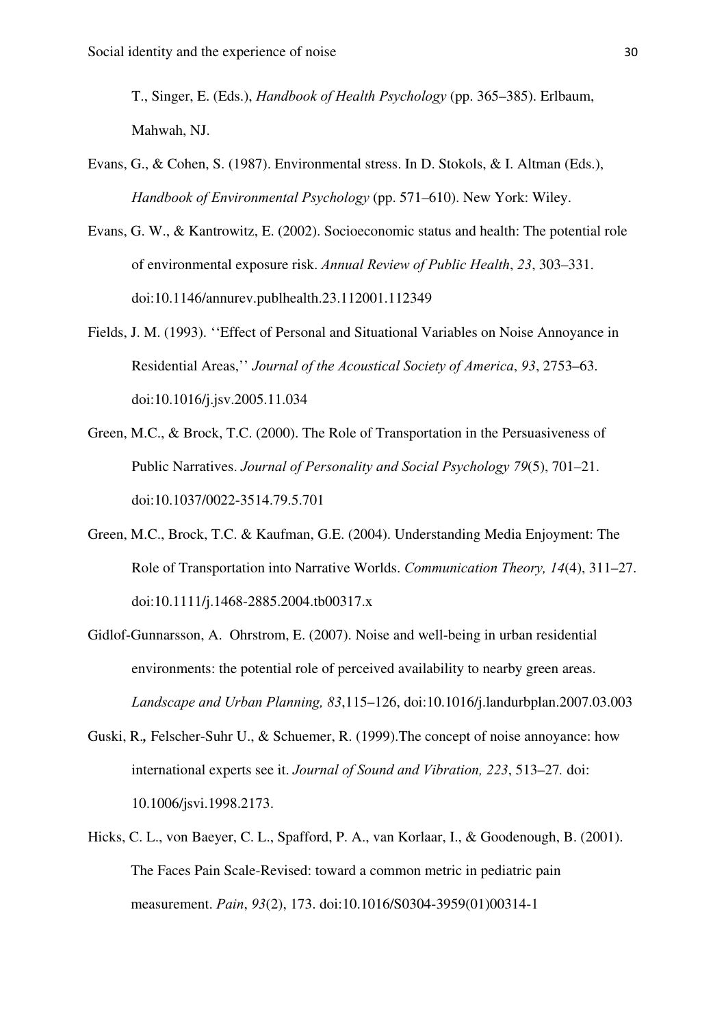T., Singer, E. (Eds.), *Handbook of Health Psychology* (pp. 365–385). Erlbaum, Mahwah, NJ.

- Evans, G., & Cohen, S. (1987). Environmental stress. In D. Stokols, & I. Altman (Eds.), *Handbook of Environmental Psychology* (pp. 571–610). New York: Wiley.
- Evans, G. W., & Kantrowitz, E. (2002). Socioeconomic status and health: The potential role of environmental exposure risk. *Annual Review of Public Health*, *23*, 303–331. doi:10.1146/annurev.publhealth.23.112001.112349
- Fields, J. M. (1993). ''Effect of Personal and Situational Variables on Noise Annoyance in Residential Areas,'' *Journal of the Acoustical Society of America*, *93*, 2753–63. doi:10.1016/j.jsv.2005.11.034
- Green, M.C., & Brock, T.C. (2000). The Role of Transportation in the Persuasiveness of Public Narratives. *Journal of Personality and Social Psychology 79*(5), 701–21. doi:10.1037/0022-3514.79.5.701
- Green, M.C., Brock, T.C. & Kaufman, G.E. (2004). Understanding Media Enjoyment: The Role of Transportation into Narrative Worlds. *Communication Theory, 14*(4), 311–27. doi:10.1111/j.1468-2885.2004.tb00317.x
- Gidlof-Gunnarsson, A. Ohrstrom, E. (2007). Noise and well-being in urban residential environments: the potential role of perceived availability to nearby green areas. *Landscape and Urban Planning, 83*,115–126, doi:10.1016/j.landurbplan.2007.03.003
- Guski, R.*,* Felscher-Suhr U., & Schuemer, R. (1999).The concept of noise annoyance: how international experts see it. *Journal of Sound and Vibration, 223*, 513–27*.* doi: 10.1006/jsvi.1998.2173.
- Hicks, C. L., von Baeyer, C. L., Spafford, P. A., van Korlaar, I., & Goodenough, B. (2001). The Faces Pain Scale-Revised: toward a common metric in pediatric pain measurement. *Pain*, *93*(2), 173. doi:10.1016/S0304-3959(01)00314-1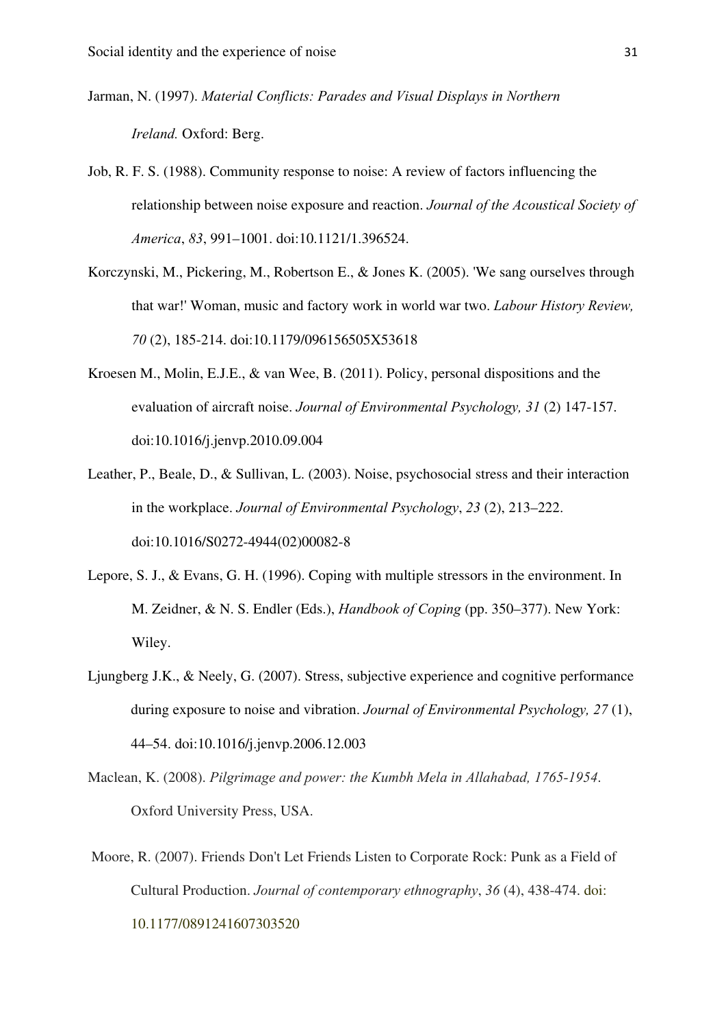- Jarman, N. (1997). *Material Conflicts: Parades and Visual Displays in Northern Ireland.* Oxford: Berg.
- Job, R. F. S. (1988). Community response to noise: A review of factors influencing the relationship between noise exposure and reaction. *Journal of the Acoustical Society of America*, *83*, 991–1001. doi:10.1121/1.396524.
- Korczynski, M., Pickering, M., Robertson E., & Jones K. (2005). 'We sang ourselves through that war!' Woman, music and factory work in world war two. *Labour History Review, 70* (2), 185-214. doi:10.1179/096156505X53618
- Kroesen M., Molin, E.J.E., & van Wee, B. (2011). Policy, personal dispositions and the evaluation of aircraft noise. *Journal of Environmental Psychology, 31* (2) 147-157. doi:10.1016/j.jenvp.2010.09.004
- Leather, P., Beale, D., & Sullivan, L. (2003). Noise, psychosocial stress and their interaction in the workplace. *Journal of Environmental Psychology*, *23* (2), 213–222. doi:10.1016/S0272-4944(02)00082-8
- Lepore, S. J., & Evans, G. H. (1996). Coping with multiple stressors in the environment. In M. Zeidner, & N. S. Endler (Eds.), *Handbook of Coping* (pp. 350–377). New York: Wiley.
- Ljungberg J.K., & Neely, G. (2007). Stress, subjective experience and cognitive performance during exposure to noise and vibration. *Journal of Environmental Psychology, 27* (1), 44–54. doi:10.1016/j.jenvp.2006.12.003
- Maclean, K. (2008). *Pilgrimage and power: the Kumbh Mela in Allahabad, 1765-1954*. Oxford University Press, USA.
- Moore, R. (2007). Friends Don't Let Friends Listen to Corporate Rock: Punk as a Field of Cultural Production. *Journal of contemporary ethnography*, *36* (4), 438-474. doi: 10.1177/0891241607303520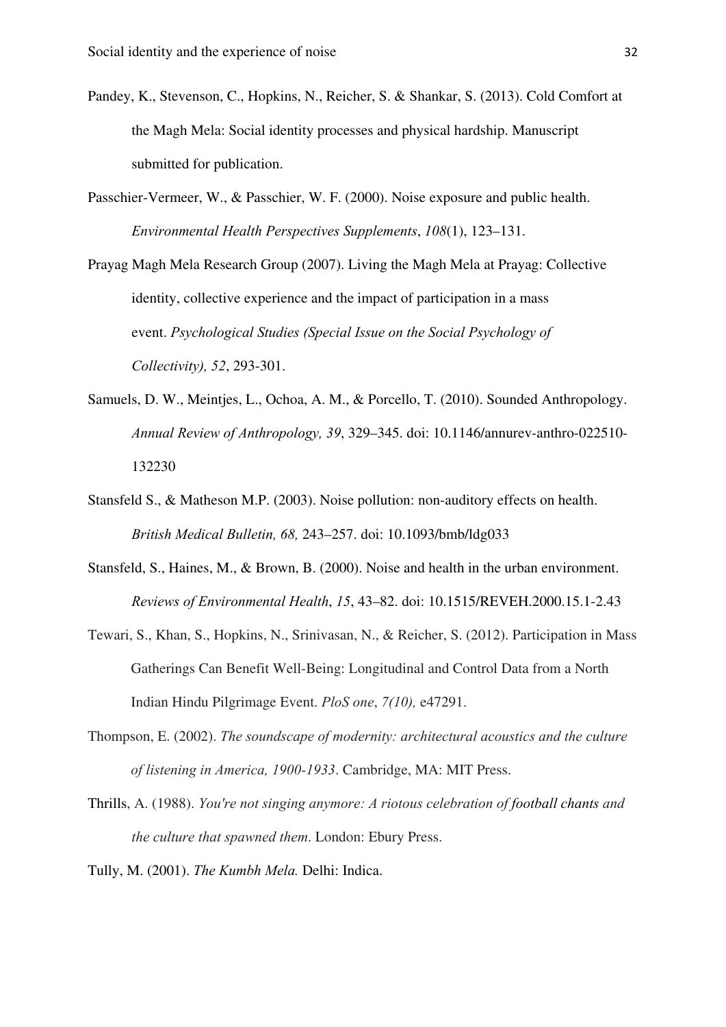- Pandey, K., Stevenson, C., Hopkins, N., Reicher, S. & Shankar, S. (2013). Cold Comfort at the Magh Mela: Social identity processes and physical hardship. Manuscript submitted for publication.
- Passchier-Vermeer, W., & Passchier, W. F. (2000). Noise exposure and public health. *Environmental Health Perspectives Supplements*, *108*(1), 123–131.

Prayag Magh Mela Research Group (2007). Living the Magh Mela at Prayag: Collective identity, collective experience and the impact of participation in a mass event. *Psychological Studies (Special Issue on the Social Psychology of Collectivity), 52*, 293-301.

- Samuels, D. W., Meintjes, L., Ochoa, A. M., & Porcello, T. (2010). Sounded Anthropology. *Annual Review of Anthropology, 39*, 329–345. doi: 10.1146/annurev-anthro-022510- 132230
- Stansfeld S., & Matheson M.P. (2003). Noise pollution: non-auditory effects on health. *British Medical Bulletin, 68,* 243–257. doi: 10.1093/bmb/ldg033
- Stansfeld, S., Haines, M., & Brown, B. (2000). Noise and health in the urban environment. *Reviews of Environmental Health*, *15*, 43–82. doi: 10.1515/REVEH.2000.15.1-2.43
- Tewari, S., Khan, S., Hopkins, N., Srinivasan, N., & Reicher, S. (2012). Participation in Mass Gatherings Can Benefit Well-Being: Longitudinal and Control Data from a North Indian Hindu Pilgrimage Event. *PloS one*, *7(10),* e47291.
- Thompson, E. (2002). *The soundscape of modernity: architectural acoustics and the culture of listening in America, 1900-1933*. Cambridge, MA: MIT Press.
- Thrills, A. (1988). *You're not singing anymore: A riotous celebration of football chants and the culture that spawned them*. London: Ebury Press.

Tully, M. (2001). *The Kumbh Mela.* Delhi: Indica.